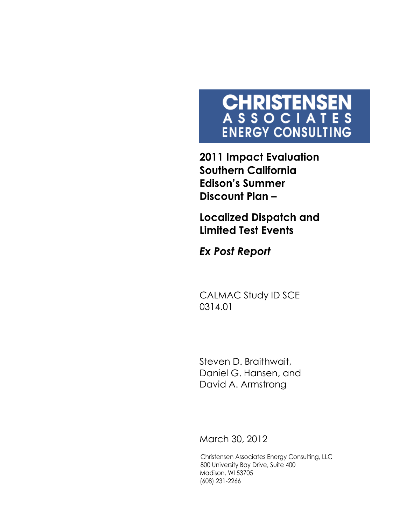# CHRISTENSEN<br>ASSOCIATES **ENERGY CONSULTING**

**2011 Impact Evaluation Southern California Edison's Summer Discount Plan –**

**Localized Dispatch and Limited Test Events**

*Ex Post Report*

CALMAC Study ID SCE 0314.01

Steven D. Braithwait, Daniel G. Hansen, and David A. Armstrong

March 30, 2012

Christensen Associates Energy Consulting, LLC 800 University Bay Drive, Suite 400 Madison, WI 53705 (608) 231-2266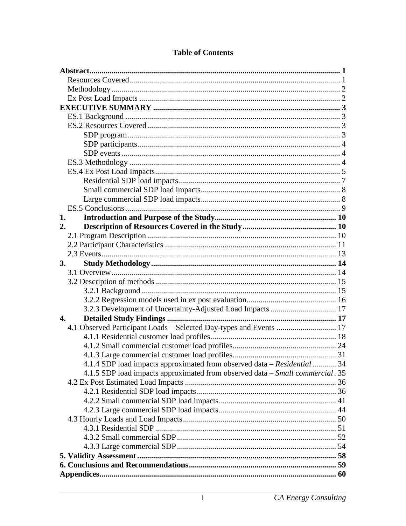| 1.                                                                            |  |
|-------------------------------------------------------------------------------|--|
| 2.                                                                            |  |
|                                                                               |  |
|                                                                               |  |
|                                                                               |  |
| 3.                                                                            |  |
|                                                                               |  |
|                                                                               |  |
|                                                                               |  |
|                                                                               |  |
| 3.2.3 Development of Uncertainty-Adjusted Load Impacts  17                    |  |
| $\mathbf{4}$ .                                                                |  |
| 4.1 Observed Participant Loads - Selected Day-types and Events  17            |  |
|                                                                               |  |
|                                                                               |  |
|                                                                               |  |
| 4.1.4 SDP load impacts approximated from observed data - Residential  34      |  |
| 4.1.5 SDP load impacts approximated from observed data – Small commercial. 35 |  |
|                                                                               |  |
|                                                                               |  |
|                                                                               |  |
|                                                                               |  |
|                                                                               |  |
|                                                                               |  |
|                                                                               |  |
|                                                                               |  |
|                                                                               |  |
|                                                                               |  |
|                                                                               |  |

## **Table of Contents**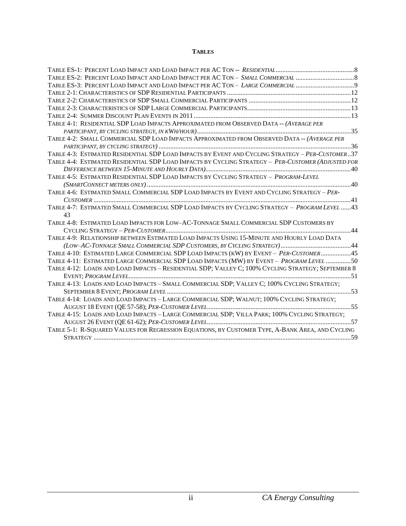#### **TABLES**

| TABLE ES-3: PERCENT LOAD IMPACT AND LOAD IMPACT PER AC TON - LARGE COMMERCIAL                      |  |
|----------------------------------------------------------------------------------------------------|--|
|                                                                                                    |  |
|                                                                                                    |  |
|                                                                                                    |  |
|                                                                                                    |  |
| TABLE 4-1: RESIDENTIAL SDP LOAD IMPACTS APPROXIMATED FROM OBSERVED DATA -- (AVERAGE PER            |  |
|                                                                                                    |  |
| TABLE 4-2: SMALL COMMERCIAL SDP LOAD IMPACTS APPROXIMATED FROM OBSERVED DATA -- (AVERAGE PER       |  |
|                                                                                                    |  |
| TABLE 4-3: ESTIMATED RESIDENTIAL SDP LOAD IMPACTS BY EVENT AND CYCLING STRATEGY - PER-CUSTOMER37   |  |
| TABLE 4-4: ESTIMATED RESIDENTIAL SDP LOAD IMPACTS BY CYCLING STRATEGY - PER-CUSTOMER (ADJUSTED FOR |  |
|                                                                                                    |  |
| TABLE 4-5: ESTIMATED RESIDENTIAL SDP LOAD IMPACTS BY CYCLING STRATEGY - PROGRAM-LEVEL              |  |
|                                                                                                    |  |
| TABLE 4-6: ESTIMATED SMALL COMMERCIAL SDP LOAD IMPACTS BY EVENT AND CYCLING STRATEGY - PER-        |  |
|                                                                                                    |  |
| TABLE 4-7: ESTIMATED SMALL COMMERCIAL SDP LOAD IMPACTS BY CYCLING STRATEGY - PROGRAM LEVEL  43     |  |
| 43                                                                                                 |  |
| TABLE 4-8: ESTIMATED LOAD IMPACTS FOR LOW-AC-TONNAGE SMALL COMMERCIAL SDP CUSTOMERS BY             |  |
|                                                                                                    |  |
| TABLE 4-9: RELATIONSHIP BETWEEN ESTIMATED LOAD IMPACTS USING 15-MINUTE AND HOURLY LOAD DATA        |  |
|                                                                                                    |  |
| TABLE 4-10: ESTIMATED LARGE COMMERCIAL SDP LOAD IMPACTS (KW) BY EVENT - PER-CUSTOMER 45            |  |
| TABLE 4-11: ESTIMATED LARGE COMMERCIAL SDP LOAD IMPACTS (MW) BY EVENT - PROGRAM LEVEL 50           |  |
| TABLE 4-12: LOADS AND LOAD IMPACTS - RESIDENTIAL SDP; VALLEY C; 100% CYCLING STRATEGY; SEPTEMBER 8 |  |
|                                                                                                    |  |
| TABLE 4-13: LOADS AND LOAD IMPACTS - SMALL COMMERCIAL SDP; VALLEY C; 100% CYCLING STRATEGY;        |  |
|                                                                                                    |  |
| TABLE 4-14: LOADS AND LOAD IMPACTS - LARGE COMMERCIAL SDP; WALNUT; 100% CYCLING STRATEGY;          |  |
|                                                                                                    |  |
| TABLE 4-15: LOADS AND LOAD IMPACTS - LARGE COMMERCIAL SDP; VILLA PARK; 100% CYCLING STRATEGY;      |  |
|                                                                                                    |  |
| TABLE 5-1: R-SQUARED VALUES FOR REGRESSION EQUATIONS, BY CUSTOMER TYPE, A-BANK AREA, AND CYCLING   |  |
|                                                                                                    |  |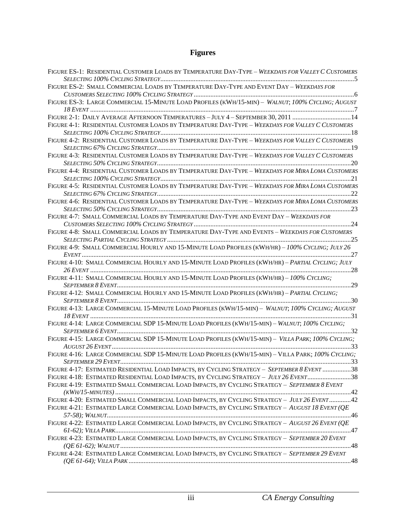# **Figures**

| FIGURE ES-1: RESIDENTIAL CUSTOMER LOADS BY TEMPERATURE DAY-TYPE - WEEKDAYS FOR VALLEY C CUSTOMERS  |
|----------------------------------------------------------------------------------------------------|
|                                                                                                    |
| FIGURE ES-2: SMALL COMMERCIAL LOADS BY TEMPERATURE DAY-TYPE AND EVENT DAY - WEEKDAYS FOR           |
| FIGURE ES-3: LARGE COMMERCIAL 15-MINUTE LOAD PROFILES (KWH/15-MIN) - WALNUT; 100% CYCLING; AUGUST  |
|                                                                                                    |
| FIGURE 2-1: DAILY AVERAGE AFTERNOON TEMPERATURES - JULY 4 - SEPTEMBER 30, 2011 14                  |
| FIGURE 4-1: RESIDENTIAL CUSTOMER LOADS BY TEMPERATURE DAY-TYPE - WEEKDAYS FOR VALLEY C CUSTOMERS   |
|                                                                                                    |
| FIGURE 4-2: RESIDENTIAL CUSTOMER LOADS BY TEMPERATURE DAY-TYPE - WEEKDAYS FOR VALLEY C CUSTOMERS   |
|                                                                                                    |
| FIGURE 4-3: RESIDENTIAL CUSTOMER LOADS BY TEMPERATURE DAY-TYPE - WEEKDAYS FOR VALLEY C CUSTOMERS   |
|                                                                                                    |
| FIGURE 4-4: RESIDENTIAL CUSTOMER LOADS BY TEMPERATURE DAY-TYPE - WEEKDAYS FOR MIRA LOMA CUSTOMERS  |
|                                                                                                    |
| FIGURE 4-5: RESIDENTIAL CUSTOMER LOADS BY TEMPERATURE DAY-TYPE - WEEKDAYS FOR MIRA LOMA CUSTOMERS  |
|                                                                                                    |
| FIGURE 4-6: RESIDENTIAL CUSTOMER LOADS BY TEMPERATURE DAY-TYPE - WEEKDAYS FOR MIRA LOMA CUSTOMERS  |
|                                                                                                    |
| FIGURE 4-7: SMALL COMMERCIAL LOADS BY TEMPERATURE DAY-TYPE AND EVENT DAY - WEEKDAYS FOR            |
|                                                                                                    |
| FIGURE 4-8: SMALL COMMERCIAL LOADS BY TEMPERATURE DAY-TYPE AND EVENTS - WEEKDAYS FOR CUSTOMERS     |
|                                                                                                    |
| FIGURE 4-9: SMALL COMMERCIAL HOURLY AND 15-MINUTE LOAD PROFILES (KWH/HR) - 100% CYCLING; JULY 26   |
|                                                                                                    |
| FIGURE 4-10: SMALL COMMERCIAL HOURLY AND 15-MINUTE LOAD PROFILES (KWH/HR) - PARTIAL CYCLING; JULY  |
|                                                                                                    |
| FIGURE 4-11: SMALL COMMERCIAL HOURLY AND 15-MINUTE LOAD PROFILES (KWH/HR) - 100% CYCLING;          |
|                                                                                                    |
| FIGURE 4-12: SMALL COMMERCIAL HOURLY AND 15-MINUTE LOAD PROFILES (KWH/HR) - PARTIAL CYCLING;       |
|                                                                                                    |
| FIGURE 4-13: LARGE COMMERCIAL 15-MINUTE LOAD PROFILES (KWH/15-MIN) - WALNUT; 100% CYCLING; AUGUST  |
|                                                                                                    |
| FIGURE 4-14: LARGE COMMERCIAL SDP 15-MINUTE LOAD PROFILES (KWH/15-MIN) - WALNUT; 100% CYCLING;     |
|                                                                                                    |
| FIGURE 4-15: LARGE COMMERCIAL SDP 15-MINUTE LOAD PROFILES (KWH/15-MIN) - VILLA PARK; 100% CYCLING; |
|                                                                                                    |
| FIGURE 4-16: LARGE COMMERCIAL SDP 15-MINUTE LOAD PROFILES (KWH/15-MIN) - VILLA PARK; 100% CYCLING; |
|                                                                                                    |
| FIGURE 4-17: ESTIMATED RESIDENTIAL LOAD IMPACTS, BY CYCLING STRATEGY - SEPTEMBER 8 EVENT 38        |
| FIGURE 4-18: ESTIMATED RESIDENTIAL LOAD IMPACTS, BY CYCLING STRATEGY - JULY 26 EVENT38             |
| FIGURE 4-19: ESTIMATED SMALL COMMERCIAL LOAD IMPACTS, BY CYCLING STRATEGY - SEPTEMBER 8 EVENT      |
|                                                                                                    |
| FIGURE 4-20: ESTIMATED SMALL COMMERCIAL LOAD IMPACTS, BY CYCLING STRATEGY - JULY 26 EVENT 42       |
| FIGURE 4-21: ESTIMATED LARGE COMMERCIAL LOAD IMPACTS, BY CYCLING STRATEGY - AUGUST 18 EVENT (QE    |
|                                                                                                    |
| FIGURE 4-22: ESTIMATED LARGE COMMERCIAL LOAD IMPACTS, BY CYCLING STRATEGY - AUGUST 26 EVENT (QE    |
|                                                                                                    |
| FIGURE 4-23: ESTIMATED LARGE COMMERCIAL LOAD IMPACTS, BY CYCLING STRATEGY - SEPTEMBER 20 EVENT     |
|                                                                                                    |
| FIGURE 4-24: ESTIMATED LARGE COMMERCIAL LOAD IMPACTS, BY CYCLING STRATEGY - SEPTEMBER 29 EVENT     |
|                                                                                                    |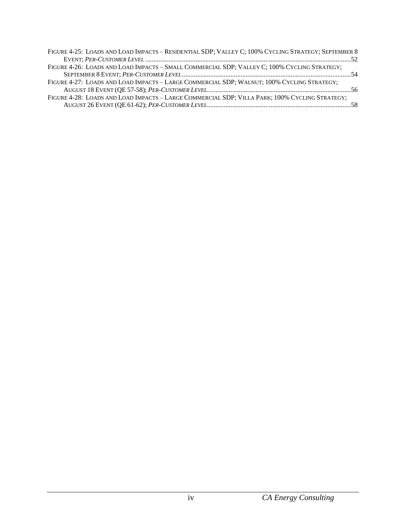| FIGURE 4-25: LOADS AND LOAD IMPACTS - RESIDENTIAL SDP; VALLEY C; 100% CYCLING STRATEGY; SEPTEMBER 8 |  |
|-----------------------------------------------------------------------------------------------------|--|
|                                                                                                     |  |
| FIGURE 4-26: LOADS AND LOAD IMPACTS - SMALL COMMERCIAL SDP; VALLEY C; 100% CYCLING STRATEGY;        |  |
|                                                                                                     |  |
| FIGURE 4-27: LOADS AND LOAD IMPACTS - LARGE COMMERCIAL SDP; WALNUT; 100% CYCLING STRATEGY;          |  |
|                                                                                                     |  |
| FIGURE 4-28: LOADS AND LOAD IMPACTS - LARGE COMMERCIAL SDP; VILLA PARK; 100% CYCLING STRATEGY;      |  |
|                                                                                                     |  |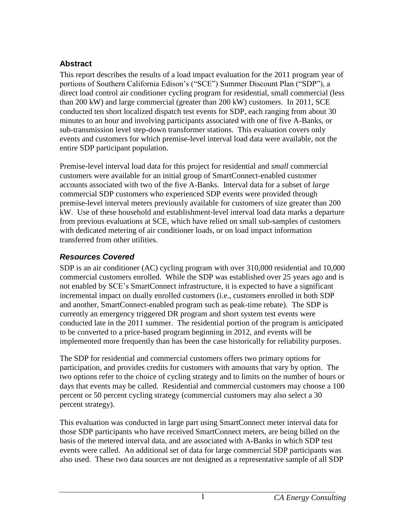# <span id="page-5-0"></span>**Abstract**

This report describes the results of a load impact evaluation for the 2011 program year of portions of Southern California Edison's ("SCE") Summer Discount Plan ("SDP"), a direct load control air conditioner cycling program for residential, small commercial (less than 200 kW) and large commercial (greater than 200 kW) customers. In 2011, SCE conducted ten short localized dispatch test events for SDP, each ranging from about 30 minutes to an hour and involving participants associated with one of five A-Banks, or sub-transmission level step-down transformer stations. This evaluation covers only events and customers for which premise-level interval load data were available, not the entire SDP participant population.

Premise-level interval load data for this project for residential and *small* commercial customers were available for an initial group of SmartConnect-enabled customer accounts associated with two of the five A-Banks. Interval data for a subset of *large* commercial SDP customers who experienced SDP events were provided through premise-level interval meters previously available for customers of size greater than 200 kW. Use of these household and establishment-level interval load data marks a departure from previous evaluations at SCE, which have relied on small sub-samples of customers with dedicated metering of air conditioner loads, or on load impact information transferred from other utilities.

# <span id="page-5-1"></span>*Resources Covered*

SDP is an air conditioner (AC) cycling program with over 310,000 residential and 10,000 commercial customers enrolled. While the SDP was established over 25 years ago and is not enabled by SCE's SmartConnect infrastructure, it is expected to have a significant incremental impact on dually enrolled customers (i.e., customers enrolled in both SDP and another, SmartConnect-enabled program such as peak-time rebate). The SDP is currently an emergency triggered DR program and short system test events were conducted late in the 2011 summer. The residential portion of the program is anticipated to be converted to a price-based program beginning in 2012, and events will be implemented more frequently than has been the case historically for reliability purposes.

The SDP for residential and commercial customers offers two primary options for participation, and provides credits for customers with amounts that vary by option. The two options refer to the choice of cycling strategy and to limits on the number of hours or days that events may be called. Residential and commercial customers may choose a 100 percent or 50 percent cycling strategy (commercial customers may also select a 30 percent strategy).

This evaluation was conducted in large part using SmartConnect meter interval data for those SDP participants who have received SmartConnect meters, are being billed on the basis of the metered interval data, and are associated with A-Banks in which SDP test events were called. An additional set of data for large commercial SDP participants was also used. These two data sources are not designed as a representative sample of all SDP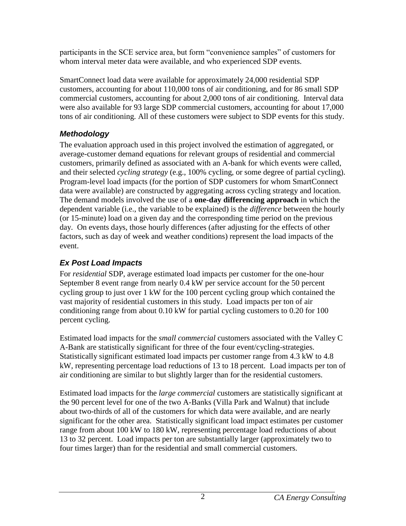participants in the SCE service area, but form "convenience samples" of customers for whom interval meter data were available, and who experienced SDP events.

SmartConnect load data were available for approximately 24,000 residential SDP customers, accounting for about 110,000 tons of air conditioning, and for 86 small SDP commercial customers, accounting for about 2,000 tons of air conditioning. Interval data were also available for 93 large SDP commercial customers, accounting for about 17,000 tons of air conditioning. All of these customers were subject to SDP events for this study.

# <span id="page-6-0"></span>*Methodology*

The evaluation approach used in this project involved the estimation of aggregated, or average-customer demand equations for relevant groups of residential and commercial customers, primarily defined as associated with an A-bank for which events were called, and their selected *cycling strategy* (e.g., 100% cycling, or some degree of partial cycling). Program-level load impacts (for the portion of SDP customers for whom SmartConnect data were available) are constructed by aggregating across cycling strategy and location. The demand models involved the use of a **one-day differencing approach** in which the dependent variable (i.e., the variable to be explained) is the *difference* between the hourly (or 15-minute) load on a given day and the corresponding time period on the previous day. On events days, those hourly differences (after adjusting for the effects of other factors, such as day of week and weather conditions) represent the load impacts of the event.

# <span id="page-6-1"></span>*Ex Post Load Impacts*

For *residential* SDP, average estimated load impacts per customer for the one-hour September 8 event range from nearly 0.4 kW per service account for the 50 percent cycling group to just over 1 kW for the 100 percent cycling group which contained the vast majority of residential customers in this study. Load impacts per ton of air conditioning range from about 0.10 kW for partial cycling customers to 0.20 for 100 percent cycling.

Estimated load impacts for the *small commercial* customers associated with the Valley C A-Bank are statistically significant for three of the four event/cycling-strategies. Statistically significant estimated load impacts per customer range from 4.3 kW to 4.8 kW, representing percentage load reductions of 13 to 18 percent. Load impacts per ton of air conditioning are similar to but slightly larger than for the residential customers.

Estimated load impacts for the *large commercial* customers are statistically significant at the 90 percent level for one of the two A-Banks (Villa Park and Walnut) that include about two-thirds of all of the customers for which data were available, and are nearly significant for the other area. Statistically significant load impact estimates per customer range from about 100 kW to 180 kW, representing percentage load reductions of about 13 to 32 percent. Load impacts per ton are substantially larger (approximately two to four times larger) than for the residential and small commercial customers.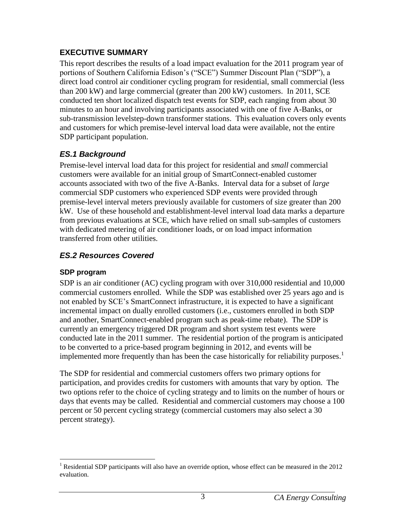## <span id="page-7-0"></span>**EXECUTIVE SUMMARY**

This report describes the results of a load impact evaluation for the 2011 program year of portions of Southern California Edison's ("SCE") Summer Discount Plan ("SDP"), a direct load control air conditioner cycling program for residential, small commercial (less than 200 kW) and large commercial (greater than 200 kW) customers. In 2011, SCE conducted ten short localized dispatch test events for SDP, each ranging from about 30 minutes to an hour and involving participants associated with one of five A-Banks, or sub-transmission levelstep-down transformer stations. This evaluation covers only events and customers for which premise-level interval load data were available, not the entire SDP participant population.

# <span id="page-7-1"></span>*ES.1 Background*

Premise-level interval load data for this project for residential and *small* commercial customers were available for an initial group of SmartConnect-enabled customer accounts associated with two of the five A-Banks. Interval data for a subset of *large* commercial SDP customers who experienced SDP events were provided through premise-level interval meters previously available for customers of size greater than 200 kW. Use of these household and establishment-level interval load data marks a departure from previous evaluations at SCE, which have relied on small sub-samples of customers with dedicated metering of air conditioner loads, or on load impact information transferred from other utilities.

# <span id="page-7-2"></span>*ES.2 Resources Covered*

# <span id="page-7-3"></span>**SDP program**

SDP is an air conditioner (AC) cycling program with over 310,000 residential and 10,000 commercial customers enrolled. While the SDP was established over 25 years ago and is not enabled by SCE's SmartConnect infrastructure, it is expected to have a significant incremental impact on dually enrolled customers (i.e., customers enrolled in both SDP and another, SmartConnect-enabled program such as peak-time rebate). The SDP is currently an emergency triggered DR program and short system test events were conducted late in the 2011 summer. The residential portion of the program is anticipated to be converted to a price-based program beginning in 2012, and events will be implemented more frequently than has been the case historically for reliability purposes. 1

The SDP for residential and commercial customers offers two primary options for participation, and provides credits for customers with amounts that vary by option. The two options refer to the choice of cycling strategy and to limits on the number of hours or days that events may be called. Residential and commercial customers may choose a 100 percent or 50 percent cycling strategy (commercial customers may also select a 30 percent strategy).

 $\overline{a}$ <sup>1</sup> Residential SDP participants will also have an override option, whose effect can be measured in the 2012 evaluation.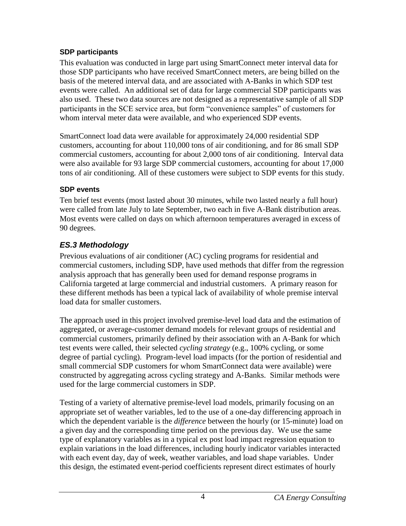## <span id="page-8-0"></span>**SDP participants**

This evaluation was conducted in large part using SmartConnect meter interval data for those SDP participants who have received SmartConnect meters, are being billed on the basis of the metered interval data, and are associated with A-Banks in which SDP test events were called. An additional set of data for large commercial SDP participants was also used. These two data sources are not designed as a representative sample of all SDP participants in the SCE service area, but form "convenience samples" of customers for whom interval meter data were available, and who experienced SDP events.

SmartConnect load data were available for approximately 24,000 residential SDP customers, accounting for about 110,000 tons of air conditioning, and for 86 small SDP commercial customers, accounting for about 2,000 tons of air conditioning. Interval data were also available for 93 large SDP commercial customers, accounting for about 17,000 tons of air conditioning. All of these customers were subject to SDP events for this study.

## <span id="page-8-1"></span>**SDP events**

Ten brief test events (most lasted about 30 minutes, while two lasted nearly a full hour) were called from late July to late September, two each in five A-Bank distribution areas. Most events were called on days on which afternoon temperatures averaged in excess of 90 degrees.

# <span id="page-8-2"></span>*ES.3 Methodology*

Previous evaluations of air conditioner (AC) cycling programs for residential and commercial customers, including SDP, have used methods that differ from the regression analysis approach that has generally been used for demand response programs in California targeted at large commercial and industrial customers. A primary reason for these different methods has been a typical lack of availability of whole premise interval load data for smaller customers.

The approach used in this project involved premise-level load data and the estimation of aggregated, or average-customer demand models for relevant groups of residential and commercial customers, primarily defined by their association with an A-Bank for which test events were called, their selected *cycling strategy* (e.g., 100% cycling, or some degree of partial cycling). Program-level load impacts (for the portion of residential and small commercial SDP customers for whom SmartConnect data were available) were constructed by aggregating across cycling strategy and A-Banks. Similar methods were used for the large commercial customers in SDP.

Testing of a variety of alternative premise-level load models, primarily focusing on an appropriate set of weather variables, led to the use of a one-day differencing approach in which the dependent variable is the *difference* between the hourly (or 15-minute) load on a given day and the corresponding time period on the previous day. We use the same type of explanatory variables as in a typical ex post load impact regression equation to explain variations in the load differences, including hourly indicator variables interacted with each event day, day of week, weather variables, and load shape variables. Under this design, the estimated event-period coefficients represent direct estimates of hourly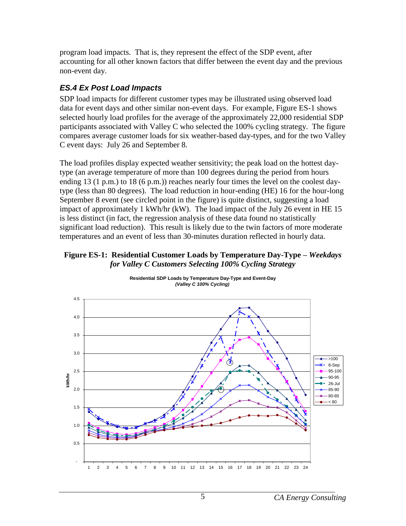program load impacts. That is, they represent the effect of the SDP event, after accounting for all other known factors that differ between the event day and the previous non-event day.

# <span id="page-9-0"></span>*ES.4 Ex Post Load Impacts*

SDP load impacts for different customer types may be illustrated using observed load data for event days and other similar non-event days. For example, Figure ES-1 shows selected hourly load profiles for the average of the approximately 22,000 residential SDP participants associated with Valley C who selected the 100% cycling strategy. The figure compares average customer loads for six weather-based day-types, and for the two Valley C event days: July 26 and September 8.

The load profiles display expected weather sensitivity; the peak load on the hottest daytype (an average temperature of more than 100 degrees during the period from hours ending 13 (1 p.m.) to 18 (6 p.m.)) reaches nearly four times the level on the coolest daytype (less than 80 degrees). The load reduction in hour-ending (HE) 16 for the hour-long September 8 event (see circled point in the figure) is quite distinct, suggesting a load impact of approximately 1 kWh/hr (kW). The load impact of the July 26 event in HE 15 is less distinct (in fact, the regression analysis of these data found no statistically significant load reduction). This result is likely due to the twin factors of more moderate temperatures and an event of less than 30-minutes duration reflected in hourly data.

#### <span id="page-9-1"></span>**Figure ES-1: Residential Customer Loads by Temperature Day-Type –** *Weekdays for Valley C Customers Selecting 100% Cycling Strategy*



**Residential SDP Loads by Temperature Day-Type and Event-Day**  *(Valley C 100% Cycling)*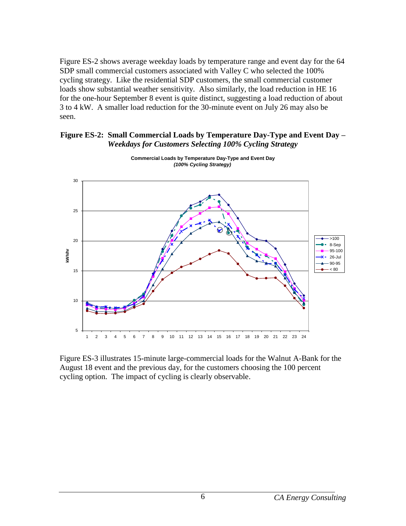Figure ES-2 shows average weekday loads by temperature range and event day for the 64 SDP small commercial customers associated with Valley C who selected the 100% cycling strategy. Like the residential SDP customers, the small commercial customer loads show substantial weather sensitivity. Also similarly, the load reduction in HE 16 for the one-hour September 8 event is quite distinct, suggesting a load reduction of about 3 to 4 kW. A smaller load reduction for the 30-minute event on July 26 may also be seen.

<span id="page-10-0"></span>



**Commercial Loads by Temperature Day-Type and Event Day**  *(100% Cycling Strategy)*

Figure ES-3 illustrates 15-minute large-commercial loads for the Walnut A-Bank for the August 18 event and the previous day, for the customers choosing the 100 percent cycling option. The impact of cycling is clearly observable.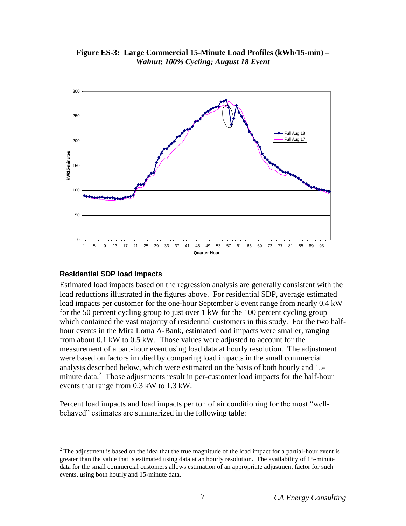

<span id="page-11-1"></span>**Figure ES-3: Large Commercial 15-Minute Load Profiles (kWh/15-min) –** *Walnut***;** *100% Cycling; August 18 Event*

#### <span id="page-11-0"></span>**Residential SDP load impacts**

 $\overline{a}$ 

Estimated load impacts based on the regression analysis are generally consistent with the load reductions illustrated in the figures above. For residential SDP, average estimated load impacts per customer for the one-hour September 8 event range from nearly 0.4 kW for the 50 percent cycling group to just over 1 kW for the 100 percent cycling group which contained the vast majority of residential customers in this study. For the two halfhour events in the Mira Loma A-Bank, estimated load impacts were smaller, ranging from about 0.1 kW to 0.5 kW. Those values were adjusted to account for the measurement of a part-hour event using load data at hourly resolution. The adjustment were based on factors implied by comparing load impacts in the small commercial analysis described below, which were estimated on the basis of both hourly and 15 minute data.<sup>2</sup> Those adjustments result in per-customer load impacts for the half-hour events that range from 0.3 kW to 1.3 kW.

Percent load impacts and load impacts per ton of air conditioning for the most "wellbehaved" estimates are summarized in the following table:

 $2$  The adjustment is based on the idea that the true magnitude of the load impact for a partial-hour event is greater than the value that is estimated using data at an hourly resolution. The availability of 15-minute data for the small commercial customers allows estimation of an appropriate adjustment factor for such events, using both hourly and 15-minute data.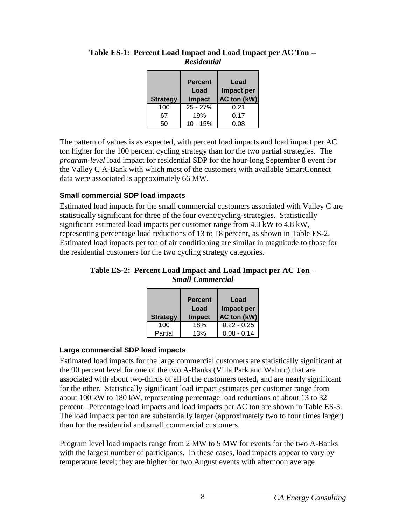| <b>Strategy</b> | <b>Percent</b><br>Load<br><b>Impact</b> | Load<br>Impact per<br>AC ton (kW) |
|-----------------|-----------------------------------------|-----------------------------------|
| 100             | $25 - 27%$                              | 0.21                              |
| 67              | 19%                                     | 0.17                              |
| 50              | $10 - 15%$                              | 0.08                              |

#### <span id="page-12-2"></span>**Table ES-1: Percent Load Impact and Load Impact per AC Ton --** *Residential*

The pattern of values is as expected, with percent load impacts and load impact per AC ton higher for the 100 percent cycling strategy than for the two partial strategies. The *program-level* load impact for residential SDP for the hour-long September 8 event for the Valley C A-Bank with which most of the customers with available SmartConnect data were associated is approximately 66 MW.

## <span id="page-12-0"></span>**Small commercial SDP load impacts**

Estimated load impacts for the small commercial customers associated with Valley C are statistically significant for three of the four event/cycling-strategies. Statistically significant estimated load impacts per customer range from 4.3 kW to 4.8 kW, representing percentage load reductions of 13 to 18 percent, as shown in Table ES-2. Estimated load impacts per ton of air conditioning are similar in magnitude to those for the residential customers for the two cycling strategy categories.

<span id="page-12-3"></span>**Table ES-2: Percent Load Impact and Load Impact per AC Ton –** *Small Commercial*

| <b>Strategy</b> | <b>Percent</b><br>Load<br><b>Impact</b> | Load<br>Impact per<br>AC ton (kW) |
|-----------------|-----------------------------------------|-----------------------------------|
| 100             | 18%                                     | $0.22 - 0.25$                     |
| Partial         | 13%                                     | $0.08 - 0.14$                     |

#### <span id="page-12-1"></span>**Large commercial SDP load impacts**

Estimated load impacts for the large commercial customers are statistically significant at the 90 percent level for one of the two A-Banks (Villa Park and Walnut) that are associated with about two-thirds of all of the customers tested, and are nearly significant for the other. Statistically significant load impact estimates per customer range from about 100 kW to 180 kW, representing percentage load reductions of about 13 to 32 percent. Percentage load impacts and load impacts per AC ton are shown in Table ES-3. The load impacts per ton are substantially larger (approximately two to four times larger) than for the residential and small commercial customers.

Program level load impacts range from 2 MW to 5 MW for events for the two A-Banks with the largest number of participants. In these cases, load impacts appear to vary by temperature level; they are higher for two August events with afternoon average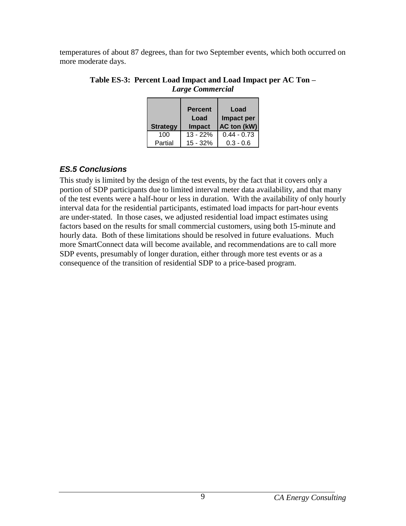<span id="page-13-1"></span>temperatures of about 87 degrees, than for two September events, which both occurred on more moderate days.

| <b>Strategy</b> | <b>Percent</b><br>Load<br><b>Impact</b> | Load<br>Impact per<br>AC ton (kW) |
|-----------------|-----------------------------------------|-----------------------------------|
| 100             | $13 - 22%$                              | $0.44 - 0.73$                     |
| Partial         | 15 - 32%                                | $0.3 - 0.6$                       |

#### **Table ES-3: Percent Load Impact and Load Impact per AC Ton –** *Large Commercial*

## <span id="page-13-0"></span>*ES.5 Conclusions*

This study is limited by the design of the test events, by the fact that it covers only a portion of SDP participants due to limited interval meter data availability, and that many of the test events were a half-hour or less in duration. With the availability of only hourly interval data for the residential participants, estimated load impacts for part-hour events are under-stated. In those cases, we adjusted residential load impact estimates using factors based on the results for small commercial customers, using both 15-minute and hourly data. Both of these limitations should be resolved in future evaluations. Much more SmartConnect data will become available, and recommendations are to call more SDP events, presumably of longer duration, either through more test events or as a consequence of the transition of residential SDP to a price-based program.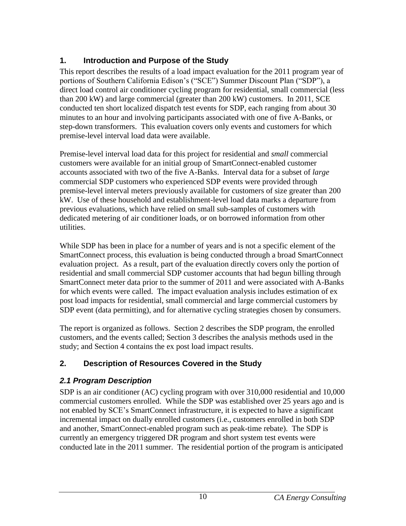# <span id="page-14-0"></span>**1. Introduction and Purpose of the Study**

This report describes the results of a load impact evaluation for the 2011 program year of portions of Southern California Edison's ("SCE") Summer Discount Plan ("SDP"), a direct load control air conditioner cycling program for residential, small commercial (less than 200 kW) and large commercial (greater than 200 kW) customers. In 2011, SCE conducted ten short localized dispatch test events for SDP, each ranging from about 30 minutes to an hour and involving participants associated with one of five A-Banks, or step-down transformers. This evaluation covers only events and customers for which premise-level interval load data were available.

Premise-level interval load data for this project for residential and *small* commercial customers were available for an initial group of SmartConnect-enabled customer accounts associated with two of the five A-Banks. Interval data for a subset of *large* commercial SDP customers who experienced SDP events were provided through premise-level interval meters previously available for customers of size greater than 200 kW. Use of these household and establishment-level load data marks a departure from previous evaluations, which have relied on small sub-samples of customers with dedicated metering of air conditioner loads, or on borrowed information from other utilities.

While SDP has been in place for a number of years and is not a specific element of the SmartConnect process, this evaluation is being conducted through a broad SmartConnect evaluation project. As a result, part of the evaluation directly covers only the portion of residential and small commercial SDP customer accounts that had begun billing through SmartConnect meter data prior to the summer of 2011 and were associated with A-Banks for which events were called. The impact evaluation analysis includes estimation of ex post load impacts for residential, small commercial and large commercial customers by SDP event (data permitting), and for alternative cycling strategies chosen by consumers.

The report is organized as follows. Section 2 describes the SDP program, the enrolled customers, and the events called; Section 3 describes the analysis methods used in the study; and Section 4 contains the ex post load impact results.

# <span id="page-14-1"></span>**2. Description of Resources Covered in the Study**

# <span id="page-14-2"></span>*2.1 Program Description*

SDP is an air conditioner (AC) cycling program with over 310,000 residential and 10,000 commercial customers enrolled. While the SDP was established over 25 years ago and is not enabled by SCE's SmartConnect infrastructure, it is expected to have a significant incremental impact on dually enrolled customers (i.e., customers enrolled in both SDP and another, SmartConnect-enabled program such as peak-time rebate). The SDP is currently an emergency triggered DR program and short system test events were conducted late in the 2011 summer. The residential portion of the program is anticipated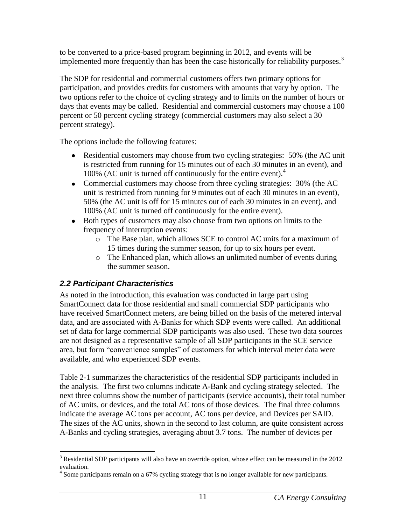to be converted to a price-based program beginning in 2012, and events will be implemented more frequently than has been the case historically for reliability purposes.<sup>3</sup>

The SDP for residential and commercial customers offers two primary options for participation, and provides credits for customers with amounts that vary by option. The two options refer to the choice of cycling strategy and to limits on the number of hours or days that events may be called. Residential and commercial customers may choose a 100 percent or 50 percent cycling strategy (commercial customers may also select a 30 percent strategy).

The options include the following features:

- Residential customers may choose from two cycling strategies: 50% (the AC unit is restricted from running for 15 minutes out of each 30 minutes in an event), and 100% (AC unit is turned off continuously for the entire event).<sup>4</sup>
- Commercial customers may choose from three cycling strategies: 30% (the AC unit is restricted from running for 9 minutes out of each 30 minutes in an event), 50% (the AC unit is off for 15 minutes out of each 30 minutes in an event), and 100% (AC unit is turned off continuously for the entire event).
- Both types of customers may also choose from two options on limits to the frequency of interruption events:
	- o The Base plan, which allows SCE to control AC units for a maximum of 15 times during the summer season, for up to six hours per event.
	- o The Enhanced plan, which allows an unlimited number of events during the summer season.

# <span id="page-15-0"></span>*2.2 Participant Characteristics*

As noted in the introduction, this evaluation was conducted in large part using SmartConnect data for those residential and small commercial SDP participants who have received SmartConnect meters, are being billed on the basis of the metered interval data, and are associated with A-Banks for which SDP events were called. An additional set of data for large commercial SDP participants was also used. These two data sources are not designed as a representative sample of all SDP participants in the SCE service area, but form "convenience samples" of customers for which interval meter data were available, and who experienced SDP events.

Table 2-1 summarizes the characteristics of the residential SDP participants included in the analysis. The first two columns indicate A-Bank and cycling strategy selected. The next three columns show the number of participants (service accounts), their total number of AC units, or devices, and the total AC tons of those devices. The final three columns indicate the average AC tons per account, AC tons per device, and Devices per SAID. The sizes of the AC units, shown in the second to last column, are quite consistent across A-Banks and cycling strategies, averaging about 3.7 tons. The number of devices per

 $\overline{a}$ <sup>3</sup> Residential SDP participants will also have an override option, whose effect can be measured in the 2012 evaluation.

<sup>&</sup>lt;sup>4</sup> Some participants remain on a 67% cycling strategy that is no longer available for new participants.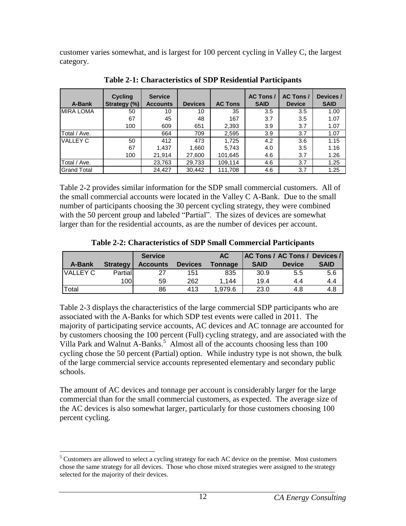customer varies somewhat, and is largest for 100 percent cycling in Valley C, the largest category.

<span id="page-16-0"></span>

| A-Bank             | <b>Cycling</b><br>Strategy (%) | <b>Service</b><br><b>Accounts</b> | <b>Devices</b> | <b>AC Tons</b> | <b>AC Tons /</b><br><b>SAID</b> | <b>AC Tons /</b><br><b>Device</b> | Devices /<br><b>SAID</b> |
|--------------------|--------------------------------|-----------------------------------|----------------|----------------|---------------------------------|-----------------------------------|--------------------------|
| <b>MIRA LOMA</b>   | 50                             | 10                                | 10             | 35             | 3.5                             | 3.5                               | 1.00                     |
|                    | 67                             | 45                                | 48             | 167            | 3.7                             | 3.5                               | 1.07                     |
|                    | 100                            | 609                               | 651            | 2,393          | 3.9                             | 3.7                               | 1.07                     |
| Total / Ave.       |                                | 664                               | 709            | 2,595          | 3.9                             | 3.7                               | 1.07                     |
| <b>VALLEY C</b>    | 50                             | 412                               | 473            | 1,725          | 4.2                             | 3.6                               | 1.15                     |
|                    | 67                             | 1,437                             | 1,660          | 5,743          | 4.0                             | 3.5                               | 1.16                     |
|                    | 100                            | 21,914                            | 27,600         | 101,645        | 4.6                             | 3.7                               | 1.26                     |
| Total / Ave.       |                                | 23,763                            | 29,733         | 109,114        | 4.6                             | 3.7                               | 1.25                     |
| <b>Grand Total</b> |                                | 24,427                            | 30,442         | 111,708        | 4.6                             | 3.7                               | 1.25                     |

**Table 2-1: Characteristics of SDP Residential Participants**

Table 2-2 provides similar information for the SDP small commercial customers. All of the small commercial accounts were located in the Valley C A-Bank. Due to the small number of participants choosing the 30 percent cycling strategy, they were combined with the 50 percent group and labeled "Partial". The sizes of devices are somewhat larger than for the residential accounts, as are the number of devices per account.

<span id="page-16-1"></span>

|                 |                  | <b>Service</b>  |                | AC             |             | AC Tons / AC Tons / Devices / |             |
|-----------------|------------------|-----------------|----------------|----------------|-------------|-------------------------------|-------------|
| A-Bank          | <b>Strategy</b>  | <b>Accounts</b> | <b>Devices</b> | <b>Tonnage</b> | <b>SAID</b> | <b>Device</b>                 | <b>SAID</b> |
| <b>VALLEY C</b> | <b>Partial</b>   | 27              | 151            | 835            | 30.9        | 5.5                           | 5.6         |
|                 | 100 <sup>1</sup> | 59              | 262            | 1.144          | 19.4        | 4.4                           | 4.4         |
| Total           |                  | 86              | 413            | 1,979.6        | 23.0        | 4.8                           | 4.8         |

**Table 2-2: Characteristics of SDP Small Commercial Participants**

Table 2-3 displays the characteristics of the large commercial SDP participants who are associated with the A-Banks for which SDP test events were called in 2011. The majority of participating service accounts, AC devices and AC tonnage are accounted for by customers choosing the 100 percent (Full) cycling strategy, and are associated with the Villa Park and Walnut A-Banks.<sup>5</sup> Almost all of the accounts choosing less than 100 cycling chose the 50 percent (Partial) option. While industry type is not shown, the bulk of the large commercial service accounts represented elementary and secondary public schools.

The amount of AC devices and tonnage per account is considerably larger for the large commercial than for the small commercial customers, as expected. The average size of the AC devices is also somewhat larger, particularly for those customers choosing 100 percent cycling.

 $\overline{a}$  $<sup>5</sup>$  Customers are allowed to select a cycling strategy for each AC device on the premise. Most customers</sup> chose the same strategy for all devices. Those who chose mixed strategies were assigned to the strategy selected for the majority of their devices.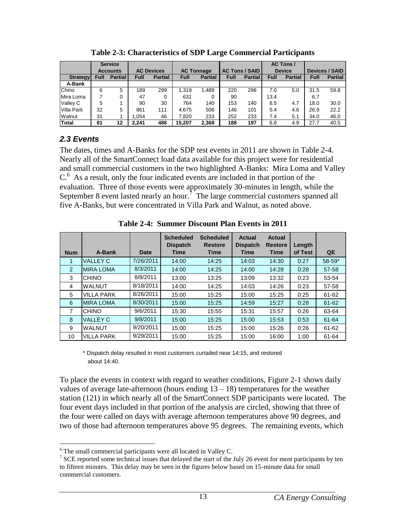<span id="page-17-1"></span>

|                   | <b>Service</b> |                 |                   |                |                   |                |                       |                |               | AC Tons/       |                       |                |
|-------------------|----------------|-----------------|-------------------|----------------|-------------------|----------------|-----------------------|----------------|---------------|----------------|-----------------------|----------------|
|                   |                | <b>Accounts</b> | <b>AC Devices</b> |                | <b>AC Tonnage</b> |                | <b>AC Tons / SAID</b> |                | <b>Device</b> |                | <b>Devices / SAID</b> |                |
| Strategyl         | Full           | <b>Partial</b>  | Full              | <b>Partial</b> | Full              | <b>Partial</b> | <b>Full</b>           | <b>Partial</b> | <b>Full</b>   | <b>Partial</b> | <b>Full</b>           | <b>Partial</b> |
| A-Bank            |                |                 |                   |                |                   |                |                       |                |               |                |                       |                |
| Chino             | 6              | 5               | 189               | 299            | 1.319             | 1,489          | 220                   | 298            | 7.0           | 5.0            | 31.5                  | 59.8           |
| Mira Loma         |                | 0               | 47                | 0              | 631               | 0              | 90                    |                | 13.4          |                | 6.7                   |                |
| Valley C          | 5              |                 | 90                | 30             | 764               | 140            | 153                   | 140            | 8.5           | 4.7            | 18.0                  | 30.0           |
| <b>Villa Park</b> | 32             | 5               | 861               | 111            | 4.675             | 506            | 146                   | 101            | 5.4           | 4.6            | 26.9                  | 22.2           |
| Walnut            | 31             |                 | 1.054             | 46             | 7.820             | 233            | 252                   | 233            | 7.4           | 5.1            | 34.0                  | 46.0           |
| <b>Total</b>      | 81             | 12              | 2.241             | 486            | 15.207            | 2.368          | 188                   | 197            | 6.8           | 4.9            | 27.7                  | 40.5           |

**Table 2-3: Characteristics of SDP Large Commercial Participants**

## <span id="page-17-0"></span>*2.3 Events*

The dates, times and A-Banks for the SDP test events in 2011 are shown in Table 2-4. Nearly all of the SmartConnect load data available for this project were for residential and small commercial customers in the two highlighted A-Banks: Mira Loma and Valley C.<sup>6</sup> As a result, only the four indicated events are included in that portion of the evaluation. Three of those events were approximately 30-minutes in length, while the September 8 event lasted nearly an hour.<sup> $7$ </sup> The large commercial customers spanned all five A-Banks, but were concentrated in Villa Park and Walnut, as noted above.

<span id="page-17-2"></span>

|               |                   |             | <b>Scheduled</b><br><b>Dispatch</b> | <b>Scheduled</b><br><b>Restore</b> | <b>Actual</b><br><b>Dispatch</b> | Actual<br><b>Restore</b> | Length  |            |
|---------------|-------------------|-------------|-------------------------------------|------------------------------------|----------------------------------|--------------------------|---------|------------|
| <b>Num</b>    | A-Bank            | <b>Date</b> | <b>Time</b>                         | <b>Time</b>                        | <b>Time</b>                      | <b>Time</b>              | of Test | QE         |
|               | <b>VALLEY C</b>   | 7/26/2011   | 14:00                               | 14:25                              | 14:03                            | 14:30                    | 0:27    | $58 - 59*$ |
| $\mathcal{P}$ | <b>MIRA LOMA</b>  | 8/3/2011    | 14:00                               | 14:25                              | 14:00                            | 14:28                    | 0:28    | 57-58      |
| 3             | <b>CHINO</b>      | 8/8/2011    | 13:00                               | 13:25                              | 13:09                            | 13:32                    | 0:23    | 53-54      |
| 4             | <b>WALNUT</b>     | 8/18/2011   | 14:00                               | 14:25                              | 14:03                            | 14:26                    | 0:23    | 57-58      |
| 5             | <b>VILLA PARK</b> | 8/26/2011   | 15:00                               | 15:25                              | 15:00                            | 15:25                    | 0:25    | 61-62      |
| 6             | <b>MIRA LOMA</b>  | 8/30/2011   | 15:00                               | 15:25                              | 14:59                            | 15:27                    | 0:28    | 61-62      |
| 7             | <b>CHINO</b>      | 9/6/2011    | 15:30                               | 15:55                              | 15:31                            | 15:57                    | 0:26    | 63-64      |
| 8             | <b>VALLEY C</b>   | 9/8/2011    | 15:00                               | 15:25                              | 15:00                            | 15:53                    | 0:53    | 61-64      |
| 9             | <b>WALNUT</b>     | 9/20/2011   | 15:00                               | 15:25                              | 15:00                            | 15:26                    | 0:26    | 61-62      |
| 10            | <b>VILLA PARK</b> | 9/29/2011   | 15:00                               | 15:25                              | 15:00                            | 16:00                    | 1:00    | 61-64      |

**Table 2-4: Summer Discount Plan Events in 2011**

\* Dispatch delay resulted in most customers curtailed near 14:15, and restored about 14:40.

To place the events in context with regard to weather conditions, Figure 2-1 shows daily values of average late-afternoon (hours ending  $13 - 18$ ) temperatures for the weather station (121) in which nearly all of the SmartConnect SDP participants were located. The four event days included in that portion of the analysis are circled, showing that three of the four were called on days with average afternoon temperatures above 90 degrees, and two of those had afternoon temperatures above 95 degrees. The remaining events, which

 $\overline{a}$  $6$  The small commercial participants were all located in Valley C.

<sup>&</sup>lt;sup>7</sup> SCE reported some technical issues that delayed the start of the July 26 event for most participants by ten to fifteen minutes. This delay may be seen in the figures below based on 15-minute data for small commercial customers.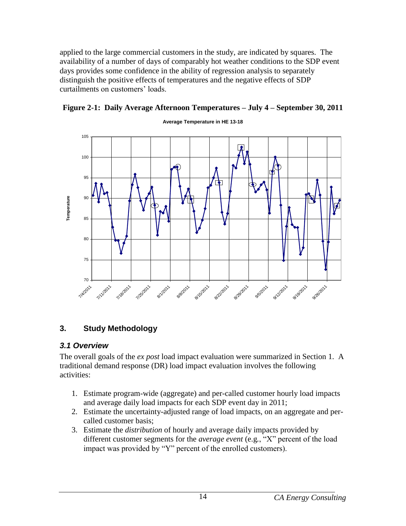applied to the large commercial customers in the study, are indicated by squares. The availability of a number of days of comparably hot weather conditions to the SDP event days provides some confidence in the ability of regression analysis to separately distinguish the positive effects of temperatures and the negative effects of SDP curtailments on customers' loads.



#### <span id="page-18-2"></span>**Figure 2-1: Daily Average Afternoon Temperatures – July 4 – September 30, 2011**

## <span id="page-18-0"></span>**3. Study Methodology**

#### <span id="page-18-1"></span>*3.1 Overview*

The overall goals of the *ex post* load impact evaluation were summarized in Section 1. A traditional demand response (DR) load impact evaluation involves the following activities:

- 1. Estimate program-wide (aggregate) and per-called customer hourly load impacts and average daily load impacts for each SDP event day in 2011;
- 2. Estimate the uncertainty-adjusted range of load impacts, on an aggregate and percalled customer basis;
- 3. Estimate the *distribution* of hourly and average daily impacts provided by different customer segments for the *average event* (e.g*.*, "X" percent of the load impact was provided by "Y" percent of the enrolled customers).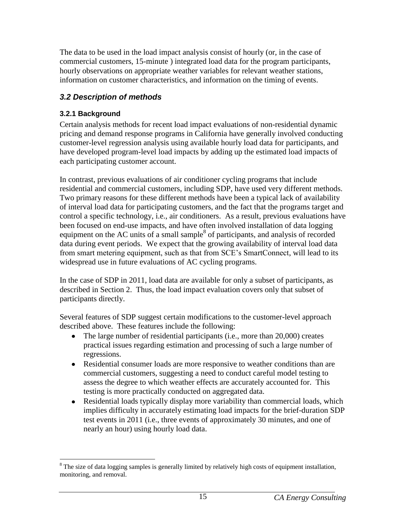The data to be used in the load impact analysis consist of hourly (or, in the case of commercial customers, 15-minute ) integrated load data for the program participants, hourly observations on appropriate weather variables for relevant weather stations, information on customer characteristics, and information on the timing of events.

# <span id="page-19-0"></span>*3.2 Description of methods*

## <span id="page-19-1"></span>**3.2.1 Background**

Certain analysis methods for recent load impact evaluations of non-residential dynamic pricing and demand response programs in California have generally involved conducting customer-level regression analysis using available hourly load data for participants, and have developed program-level load impacts by adding up the estimated load impacts of each participating customer account.

In contrast, previous evaluations of air conditioner cycling programs that include residential and commercial customers, including SDP, have used very different methods. Two primary reasons for these different methods have been a typical lack of availability of interval load data for participating customers, and the fact that the programs target and control a specific technology, i.e., air conditioners. As a result, previous evaluations have been focused on end-use impacts, and have often involved installation of data logging equipment on the AC units of a small sample $8$  of participants, and analysis of recorded data during event periods. We expect that the growing availability of interval load data from smart metering equipment, such as that from SCE's SmartConnect, will lead to its widespread use in future evaluations of AC cycling programs.

In the case of SDP in 2011, load data are available for only a subset of participants, as described in Section 2. Thus, the load impact evaluation covers only that subset of participants directly.

Several features of SDP suggest certain modifications to the customer-level approach described above. These features include the following:

- $\bullet$ The large number of residential participants (i.e., more than 20,000) creates practical issues regarding estimation and processing of such a large number of regressions.
- Residential consumer loads are more responsive to weather conditions than are commercial customers, suggesting a need to conduct careful model testing to assess the degree to which weather effects are accurately accounted for. This testing is more practically conducted on aggregated data.
- Residential loads typically display more variability than commercial loads, which implies difficulty in accurately estimating load impacts for the brief-duration SDP test events in 2011 (i.e., three events of approximately 30 minutes, and one of nearly an hour) using hourly load data.

 $\overline{a}$ <sup>8</sup> The size of data logging samples is generally limited by relatively high costs of equipment installation, monitoring, and removal.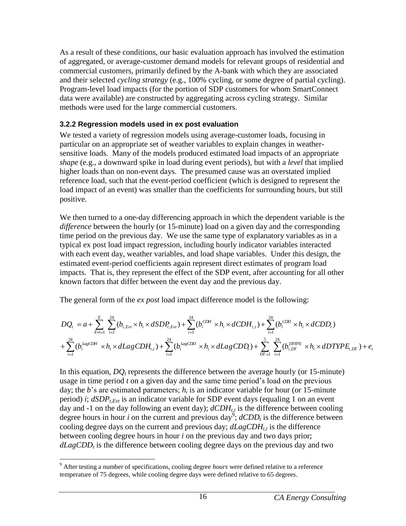As a result of these conditions, our basic evaluation approach has involved the estimation of aggregated, or average-customer demand models for relevant groups of residential and commercial customers, primarily defined by the A-bank with which they are associated and their selected *cycling strategy* (e.g., 100% cycling, or some degree of partial cycling). Program-level load impacts (for the portion of SDP customers for whom SmartConnect data were available) are constructed by aggregating across cycling strategy. Similar methods were used for the large commercial customers.

## <span id="page-20-0"></span>**3.2.2 Regression models used in ex post evaluation**

We tested a variety of regression models using average-customer loads, focusing in particular on an appropriate set of weather variables to explain changes in weathersensitive loads. Many of the models produced estimated load impacts of an appropriate *shape* (e.g., a downward spike in load during event periods), but with a *level* that implied higher loads than on non-event days. The presumed cause was an overstated implied reference load, such that the event-period coefficient (which is designed to represent the load impact of an event) was smaller than the coefficients for surrounding hours, but still positive.

We then turned to a one-day differencing approach in which the dependent variable is the *difference* between the hourly (or 15-minute) load on a given day and the corresponding time period on the previous day. We use the same type of explanatory variables as in a typical ex post load impact regression, including hourly indicator variables interacted with each event day, weather variables, and load shape variables. Under this design, the estimated event-period coefficients again represent direct estimates of program load impacts. That is, they represent the effect of the SDP event, after accounting for all other known factors that differ between the event day and the previous day.

The general form of the *ex post* load impact difference model is the following:

$$
DQ_{t} = a + \sum_{Evt=1}^{E} \sum_{i=1}^{24} (b_{i, Evt} \times h_{i} \times dSDP_{t, Evt}) + \sum_{i=1}^{24} (b_{i}^{CDH} \times h_{i} \times dCDH_{t,i}) + \sum_{i=1}^{24} (b_{i}^{CDD} \times h_{i} \times dCDD_{t})
$$
  
+ 
$$
\sum_{i=1}^{24} (b_{i}^{LagCDH} \times h_{i} \times dLagCDH_{t,i}) + \sum_{i=1}^{24} (b_{i}^{LagCDD} \times h_{i} \times dLagCDD_{t}) + \sum_{DT=1}^{5} \sum_{i=1}^{24} (b_{i,DT}^{DTPPE} \times h_{i} \times dDTYPE_{t,DT}) + e_{t}
$$

In this equation,  $DQ_t$  represents the difference between the average hourly (or 15-minute) usage in time period *t* on a given day and the same time period's load on the previous day; the *b*'s are estimated parameters;  $h_i$  is an indicator variable for hour (or 15-minute period) *i*; *dSDPt,Evt* is an indicator variable for SDP event days (equaling 1 on an event day and -1 on the day following an event day); *dCDHt,i* is the difference between cooling degree hours in hour *i* on the current and previous day<sup>9</sup>;  $dCDD<sub>t</sub>$  is the difference between cooling degree days on the current and previous day; *dLagCDHt,i* is the difference between cooling degree hours in hour *i* on the previous day and two days prior; *dLagCDD<sup>t</sup>* is the difference between cooling degree days on the previous day and two

 $\overline{a}$ <sup>9</sup> After testing a number of specifications, cooling degree *hours* were defined relative to a reference temperature of 75 degrees, while cooling degree days were defined relative to 65 degrees.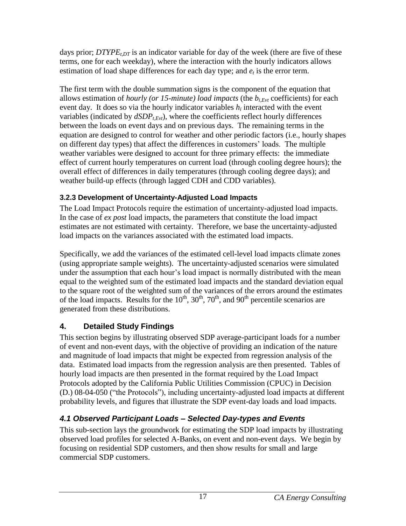days prior; *DTYPEt,DT* is an indicator variable for day of the week (there are five of these terms, one for each weekday), where the interaction with the hourly indicators allows estimation of load shape differences for each day type; and *e<sup>t</sup>* is the error term.

The first term with the double summation signs is the component of the equation that allows estimation of *hourly (or 15-minute) load impacts* (the *bi,Evt* coefficients) for each event day. It does so via the hourly indicator variables *h<sup>i</sup>* interacted with the event variables (indicated by  $dSDP_{t, Evt}$ ), where the coefficients reflect hourly differences between the loads on event days and on previous days. The remaining terms in the equation are designed to control for weather and other periodic factors (i.e., hourly shapes on different day types) that affect the differences in customers' loads. The multiple weather variables were designed to account for three primary effects: the immediate effect of current hourly temperatures on current load (through cooling degree hours); the overall effect of differences in daily temperatures (through cooling degree days); and weather build-up effects (through lagged CDH and CDD variables).

# <span id="page-21-0"></span>**3.2.3 Development of Uncertainty-Adjusted Load Impacts**

The Load Impact Protocols require the estimation of uncertainty-adjusted load impacts. In the case of *ex post* load impacts, the parameters that constitute the load impact estimates are not estimated with certainty. Therefore, we base the uncertainty-adjusted load impacts on the variances associated with the estimated load impacts.

Specifically, we add the variances of the estimated cell-level load impacts climate zones (using appropriate sample weights). The uncertainty-adjusted scenarios were simulated under the assumption that each hour's load impact is normally distributed with the mean equal to the weighted sum of the estimated load impacts and the standard deviation equal to the square root of the weighted sum of the variances of the errors around the estimates of the load impacts. Results for the  $10^{th}$ ,  $30^{th}$ ,  $70^{th}$ , and  $90^{th}$  percentile scenarios are generated from these distributions.

# <span id="page-21-1"></span>**4. Detailed Study Findings**

This section begins by illustrating observed SDP average-participant loads for a number of event and non-event days, with the objective of providing an indication of the nature and magnitude of load impacts that might be expected from regression analysis of the data. Estimated load impacts from the regression analysis are then presented. Tables of hourly load impacts are then presented in the format required by the Load Impact Protocols adopted by the California Public Utilities Commission (CPUC) in Decision (D.) 08-04-050 ("the Protocols"), including uncertainty-adjusted load impacts at different probability levels, and figures that illustrate the SDP event-day loads and load impacts.

# <span id="page-21-2"></span>*4.1 Observed Participant Loads – Selected Day-types and Events*

This sub-section lays the groundwork for estimating the SDP load impacts by illustrating observed load profiles for selected A-Banks, on event and non-event days. We begin by focusing on residential SDP customers, and then show results for small and large commercial SDP customers.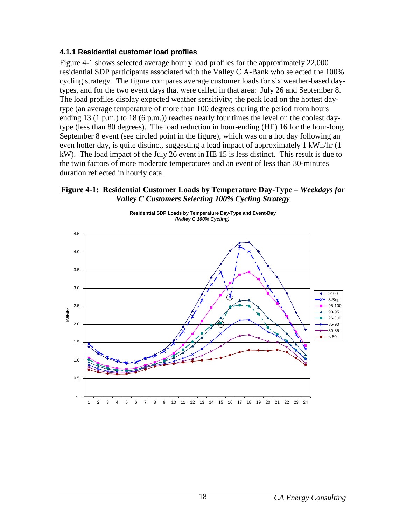#### <span id="page-22-0"></span>**4.1.1 Residential customer load profiles**

Figure 4-1 shows selected average hourly load profiles for the approximately 22,000 residential SDP participants associated with the Valley C A-Bank who selected the 100% cycling strategy. The figure compares average customer loads for six weather-based daytypes, and for the two event days that were called in that area: July 26 and September 8. The load profiles display expected weather sensitivity; the peak load on the hottest daytype (an average temperature of more than 100 degrees during the period from hours ending 13 (1 p.m.) to 18 (6 p.m.)) reaches nearly four times the level on the coolest daytype (less than 80 degrees). The load reduction in hour-ending (HE) 16 for the hour-long September 8 event (see circled point in the figure), which was on a hot day following an even hotter day, is quite distinct, suggesting a load impact of approximately 1 kWh/hr (1 kW). The load impact of the July 26 event in HE 15 is less distinct. This result is due to the twin factors of more moderate temperatures and an event of less than 30-minutes duration reflected in hourly data.

#### <span id="page-22-1"></span>**Figure 4-1: Residential Customer Loads by Temperature Day-Type –** *Weekdays for Valley C Customers Selecting 100% Cycling Strategy*



**Residential SDP Loads by Temperature Day-Type and Event-Day**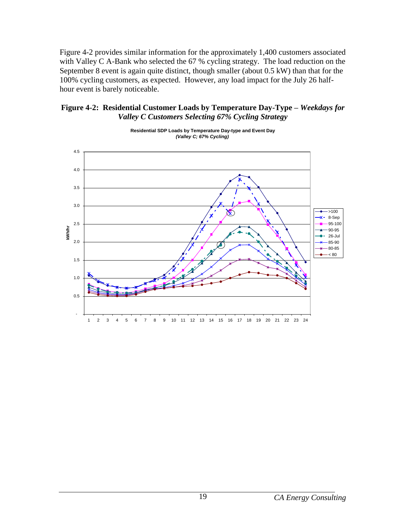Figure 4-2 provides similar information for the approximately 1,400 customers associated with Valley C A-Bank who selected the 67 % cycling strategy. The load reduction on the September 8 event is again quite distinct, though smaller (about 0.5 kW) than that for the 100% cycling customers, as expected. However, any load impact for the July 26 halfhour event is barely noticeable.

#### <span id="page-23-0"></span>**Figure 4-2: Residential Customer Loads by Temperature Day-Type –** *Weekdays for Valley C Customers Selecting 67% Cycling Strategy*



**Residential SDP Loads by Temperature Day-type and Event Day**  *(Valley C; 67% Cycling)*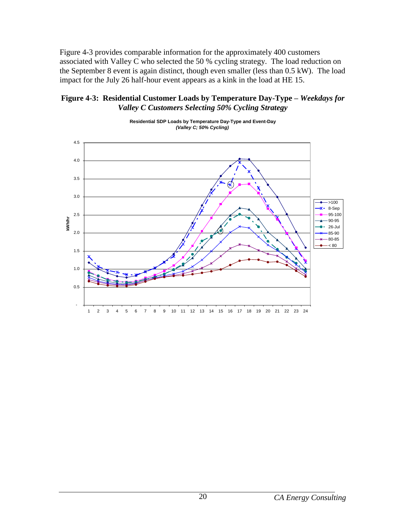Figure 4-3 provides comparable information for the approximately 400 customers associated with Valley C who selected the 50 % cycling strategy. The load reduction on the September 8 event is again distinct, though even smaller (less than 0.5 kW). The load impact for the July 26 half-hour event appears as a kink in the load at HE 15.

#### <span id="page-24-0"></span>**Figure 4-3: Residential Customer Loads by Temperature Day-Type –** *Weekdays for Valley C Customers Selecting 50% Cycling Strategy*



**Residential SDP Loads by Temperature Day-Type and Event-Day**  *(Valley C; 50% Cycling)*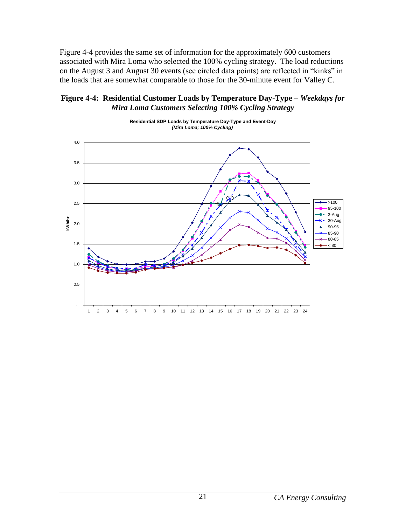Figure 4-4 provides the same set of information for the approximately 600 customers associated with Mira Loma who selected the 100% cycling strategy. The load reductions on the August 3 and August 30 events (see circled data points) are reflected in "kinks" in the loads that are somewhat comparable to those for the 30-minute event for Valley C.

#### <span id="page-25-0"></span>**Figure 4-4: Residential Customer Loads by Temperature Day-Type –** *Weekdays for Mira Loma Customers Selecting 100% Cycling Strategy*



**Residential SDP Loads by Temperature Day-Type and Event-Day**  *(Mira Loma; 100% Cycling)*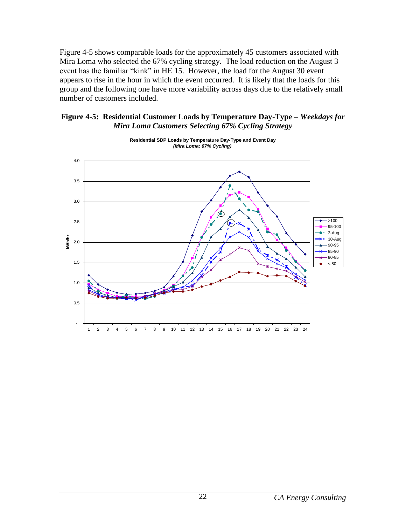Figure 4-5 shows comparable loads for the approximately 45 customers associated with Mira Loma who selected the 67% cycling strategy. The load reduction on the August 3 event has the familiar "kink" in HE 15. However, the load for the August 30 event appears to rise in the hour in which the event occurred. It is likely that the loads for this group and the following one have more variability across days due to the relatively small number of customers included.

#### <span id="page-26-0"></span>**Figure 4-5: Residential Customer Loads by Temperature Day-Type –** *Weekdays for Mira Loma Customers Selecting 67% Cycling Strategy*



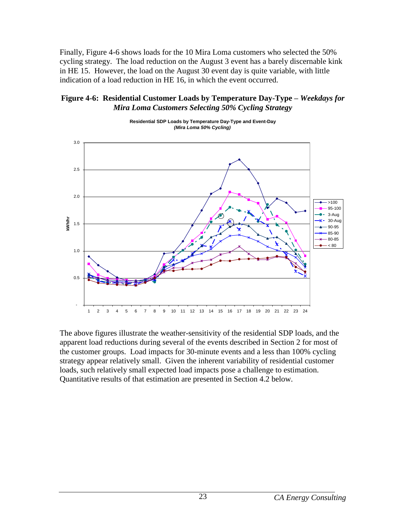Finally, Figure 4-6 shows loads for the 10 Mira Loma customers who selected the 50% cycling strategy. The load reduction on the August 3 event has a barely discernable kink in HE 15. However, the load on the August 30 event day is quite variable, with little indication of a load reduction in HE 16, in which the event occurred.

#### <span id="page-27-0"></span>**Figure 4-6: Residential Customer Loads by Temperature Day-Type –** *Weekdays for Mira Loma Customers Selecting 50% Cycling Strategy*



The above figures illustrate the weather-sensitivity of the residential SDP loads, and the apparent load reductions during several of the events described in Section 2 for most of the customer groups. Load impacts for 30-minute events and a less than 100% cycling strategy appear relatively small. Given the inherent variability of residential customer loads, such relatively small expected load impacts pose a challenge to estimation. Quantitative results of that estimation are presented in Section 4.2 below.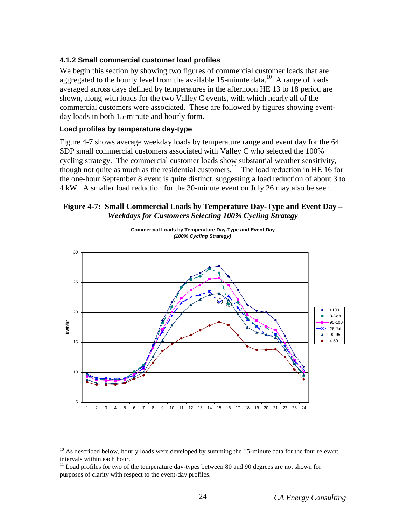## <span id="page-28-0"></span>**4.1.2 Small commercial customer load profiles**

We begin this section by showing two figures of commercial customer loads that are aggregated to the hourly level from the available  $15$ -minute data.<sup>10</sup> A range of loads averaged across days defined by temperatures in the afternoon HE 13 to 18 period are shown, along with loads for the two Valley C events, with which nearly all of the commercial customers were associated. These are followed by figures showing eventday loads in both 15-minute and hourly form.

#### **Load profiles by temperature day-type**

 $\overline{a}$ 

Figure 4-7 shows average weekday loads by temperature range and event day for the 64 SDP small commercial customers associated with Valley C who selected the 100% cycling strategy. The commercial customer loads show substantial weather sensitivity, though not quite as much as the residential customers.<sup>11</sup> The load reduction in HE 16 for the one-hour September 8 event is quite distinct, suggesting a load reduction of about 3 to 4 kW. A smaller load reduction for the 30-minute event on July 26 may also be seen.

#### <span id="page-28-1"></span>**Figure 4-7: Small Commercial Loads by Temperature Day-Type and Event Day –** *Weekdays for Customers Selecting 100% Cycling Strategy*



**Commercial Loads by Temperature Day-Type and Event Day**  *(100% Cycling Strategy)*

 $10$  As described below, hourly loads were developed by summing the 15-minute data for the four relevant intervals within each hour.

 $11$  Load profiles for two of the temperature day-types between 80 and 90 degrees are not shown for purposes of clarity with respect to the event-day profiles.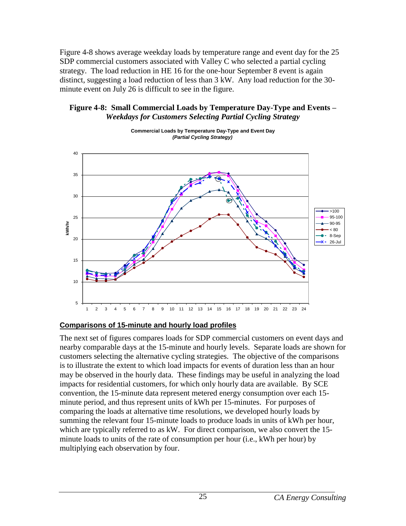Figure 4-8 shows average weekday loads by temperature range and event day for the 25 SDP commercial customers associated with Valley C who selected a partial cycling strategy. The load reduction in HE 16 for the one-hour September 8 event is again distinct, suggesting a load reduction of less than 3 kW. Any load reduction for the 30 minute event on July 26 is difficult to see in the figure.

#### <span id="page-29-0"></span>**Figure 4-8: Small Commercial Loads by Temperature Day-Type and Events –** *Weekdays for Customers Selecting Partial Cycling Strategy*



**Commercial Loads by Temperature Day-Type and Event Day**  *(Partial Cycling Strategy)*

## **Comparisons of 15-minute and hourly load profiles**

The next set of figures compares loads for SDP commercial customers on event days and nearby comparable days at the 15-minute and hourly levels. Separate loads are shown for customers selecting the alternative cycling strategies. The objective of the comparisons is to illustrate the extent to which load impacts for events of duration less than an hour may be observed in the hourly data. These findings may be useful in analyzing the load impacts for residential customers, for which only hourly data are available. By SCE convention, the 15-minute data represent metered energy consumption over each 15 minute period, and thus represent units of kWh per 15-minutes. For purposes of comparing the loads at alternative time resolutions, we developed hourly loads by summing the relevant four 15-minute loads to produce loads in units of kWh per hour, which are typically referred to as kW. For direct comparison, we also convert the 15 minute loads to units of the rate of consumption per hour (i.e., kWh per hour) by multiplying each observation by four.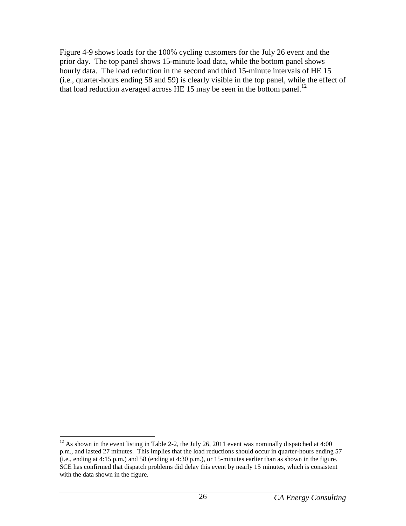Figure 4-9 shows loads for the 100% cycling customers for the July 26 event and the prior day. The top panel shows 15-minute load data, while the bottom panel shows hourly data. The load reduction in the second and third 15-minute intervals of HE 15 (i.e., quarter-hours ending 58 and 59) is clearly visible in the top panel, while the effect of that load reduction averaged across HE 15 may be seen in the bottom panel.<sup>12</sup>

 $\overline{a}$  $12$  As shown in the event listing in Table 2-2, the July 26, 2011 event was nominally dispatched at 4:00 p.m., and lasted 27 minutes. This implies that the load reductions should occur in quarter-hours ending 57 (i.e., ending at 4:15 p.m.) and 58 (ending at 4:30 p.m.), or 15-minutes earlier than as shown in the figure. SCE has confirmed that dispatch problems did delay this event by nearly 15 minutes, which is consistent with the data shown in the figure.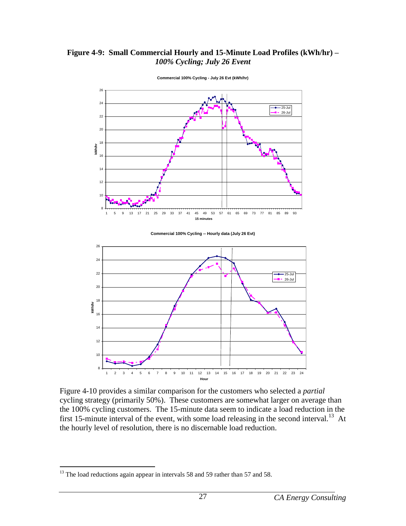#### <span id="page-31-0"></span>**Figure 4-9: Small Commercial Hourly and 15-Minute Load Profiles (kWh/hr) –** *100% Cycling; July 26 Event*



**Commercial 100% Cycling - July 26 Evt (kWh/hr)**

Figure 4-10 provides a similar comparison for the customers who selected a *partial* cycling strategy (primarily 50%). These customers are somewhat larger on average than the 100% cycling customers. The 15-minute data seem to indicate a load reduction in the first 15-minute interval of the event, with some load releasing in the second interval.<sup>13</sup> At the hourly level of resolution, there is no discernable load reduction.

1 2 3 4 5 6 7 8 9 10 11 12 13 14 15 16 17 18 19 20 21 22 23 24

8

 $\overline{a}$ 

 $13$  The load reductions again appear in intervals 58 and 59 rather than 57 and 58.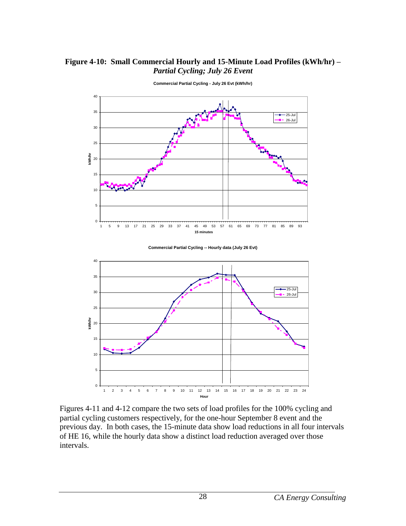#### <span id="page-32-0"></span>**Figure 4-10: Small Commercial Hourly and 15-Minute Load Profiles (kWh/hr) –** *Partial Cycling; July 26 Event*



**Commercial Partial Cycling - July 26 Evt (kWh/hr)**





Figures 4-11 and 4-12 compare the two sets of load profiles for the 100% cycling and partial cycling customers respectively, for the one-hour September 8 event and the previous day. In both cases, the 15-minute data show load reductions in all four intervals of HE 16, while the hourly data show a distinct load reduction averaged over those intervals.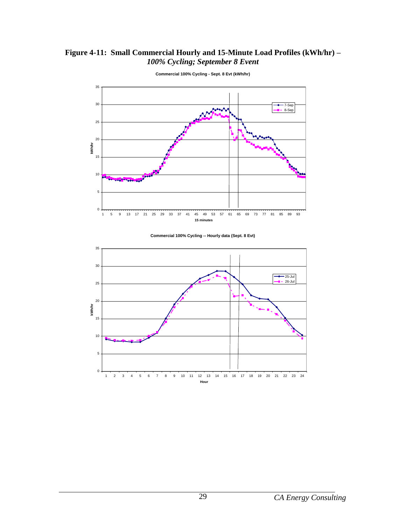## <span id="page-33-0"></span>**Figure 4-11: Small Commercial Hourly and 15-Minute Load Profiles (kWh/hr) –** *100% Cycling; September 8 Event*



**Commercial 100% Cycling - Sept. 8 Evt (kWh/hr)**



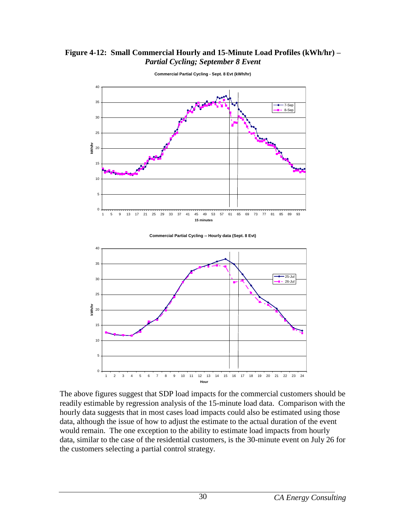#### <span id="page-34-0"></span>**Figure 4-12: Small Commercial Hourly and 15-Minute Load Profiles (kWh/hr) –** *Partial Cycling; September 8 Event*



**Commercial Partial Cycling - Sept. 8 Evt (kWh/hr)**

The above figures suggest that SDP load impacts for the commercial customers should be readily estimable by regression analysis of the 15-minute load data. Comparison with the hourly data suggests that in most cases load impacts could also be estimated using those data, although the issue of how to adjust the estimate to the actual duration of the event would remain. The one exception to the ability to estimate load impacts from hourly data, similar to the case of the residential customers, is the 30-minute event on July 26 for the customers selecting a partial control strategy.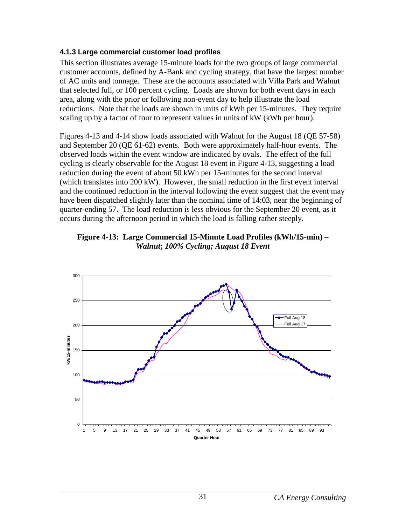#### <span id="page-35-0"></span>**4.1.3 Large commercial customer load profiles**

This section illustrates average 15-minute loads for the two groups of large commercial customer accounts, defined by A-Bank and cycling strategy, that have the largest number of AC units and tonnage. These are the accounts associated with Villa Park and Walnut that selected full, or 100 percent cycling. Loads are shown for both event days in each area, along with the prior or following non-event day to help illustrate the load reductions. Note that the loads are shown in units of kWh per 15-minutes. They require scaling up by a factor of four to represent values in units of kW (kWh per hour).

Figures 4-13 and 4-14 show loads associated with Walnut for the August 18 (QE 57-58) and September 20 (QE 61-62) events. Both were approximately half-hour events. The observed loads within the event window are indicated by ovals. The effect of the full cycling is clearly observable for the August 18 event in Figure 4-13, suggesting a load reduction during the event of about 50 kWh per 15-minutes for the second interval (which translates into 200 kW). However, the small reduction in the first event interval and the continued reduction in the interval following the event suggest that the event may have been dispatched slightly later than the nominal time of 14:03, near the beginning of quarter-ending 57. The load reduction is less obvious for the September 20 event, as it occurs during the afternoon period in which the load is falling rather steeply.

<span id="page-35-1"></span>

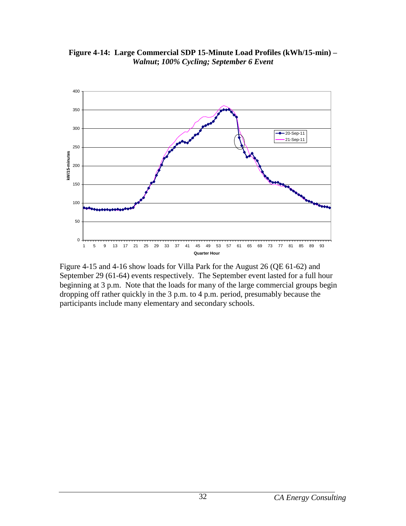<span id="page-36-0"></span>**Figure 4-14: Large Commercial SDP 15-Minute Load Profiles (kWh/15-min) –** *Walnut***;** *100% Cycling; September 6 Event*



Figure 4-15 and 4-16 show loads for Villa Park for the August 26 (QE 61-62) and September 29 (61-64) events respectively. The September event lasted for a full hour beginning at 3 p.m. Note that the loads for many of the large commercial groups begin dropping off rather quickly in the 3 p.m. to 4 p.m. period, presumably because the participants include many elementary and secondary schools.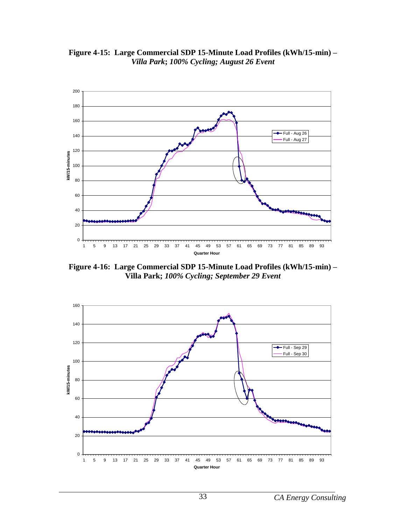<span id="page-37-0"></span>**Figure 4-15: Large Commercial SDP 15-Minute Load Profiles (kWh/15-min) –** *Villa Park***;** *100% Cycling; August 26 Event*



<span id="page-37-1"></span>**Figure 4-16: Large Commercial SDP 15-Minute Load Profiles (kWh/15-min) – Villa Park;** *100% Cycling; September 29 Event*

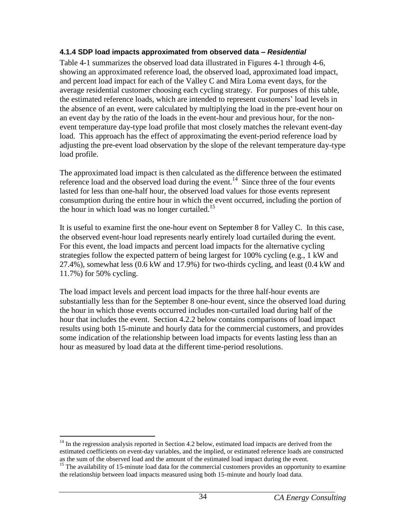#### <span id="page-38-0"></span>**4.1.4 SDP load impacts approximated from observed data –** *Residential*

Table 4-1 summarizes the observed load data illustrated in Figures 4-1 through 4-6, showing an approximated reference load, the observed load, approximated load impact, and percent load impact for each of the Valley C and Mira Loma event days, for the average residential customer choosing each cycling strategy. For purposes of this table, the estimated reference loads, which are intended to represent customers' load levels in the absence of an event, were calculated by multiplying the load in the pre-event hour on an event day by the ratio of the loads in the event-hour and previous hour, for the nonevent temperature day-type load profile that most closely matches the relevant event-day load. This approach has the effect of approximating the event-period reference load by adjusting the pre-event load observation by the slope of the relevant temperature day-type load profile.

The approximated load impact is then calculated as the difference between the estimated reference load and the observed load during the event.<sup>14</sup> Since three of the four events lasted for less than one-half hour, the observed load values for those events represent consumption during the entire hour in which the event occurred, including the portion of the hour in which load was no longer curtailed.<sup>15</sup>

It is useful to examine first the one-hour event on September 8 for Valley C. In this case, the observed event-hour load represents nearly entirely load curtailed during the event. For this event, the load impacts and percent load impacts for the alternative cycling strategies follow the expected pattern of being largest for 100% cycling (e.g., 1 kW and 27.4%), somewhat less (0.6 kW and 17.9%) for two-thirds cycling, and least (0.4 kW and 11.7%) for 50% cycling.

The load impact levels and percent load impacts for the three half-hour events are substantially less than for the September 8 one-hour event, since the observed load during the hour in which those events occurred includes non-curtailed load during half of the hour that includes the event. Section 4.2.2 below contains comparisons of load impact results using both 15-minute and hourly data for the commercial customers, and provides some indication of the relationship between load impacts for events lasting less than an hour as measured by load data at the different time-period resolutions.

 $\overline{a}$  $14$  In the regression analysis reported in Section 4.2 below, estimated load impacts are derived from the estimated coefficients on event-day variables, and the implied, or estimated reference loads are constructed as the sum of the observed load and the amount of the estimated load impact during the event.

<sup>&</sup>lt;sup>15</sup> The availability of 15-minute load data for the commercial customers provides an opportunity to examine the relationship between load impacts measured using both 15-minute and hourly load data.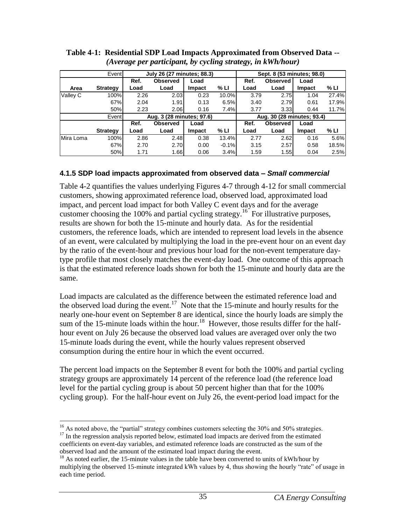|           | Event           |      | July 26 (27 minutes; 88.3) |        |         |      | Sept. 8 (53 minutes; 98.0) |               |       |
|-----------|-----------------|------|----------------------------|--------|---------|------|----------------------------|---------------|-------|
|           |                 | Ref. | <b>Observed</b>            | Load   |         | Ref. | <b>Observed</b>            | Load          |       |
| Area      | <b>Strategy</b> | Load | Load                       | Impact | % LI    | Load | Load                       | Impact        | % LI  |
| Valley C  | 100%            | 2.26 | 2.03                       | 0.23   | 10.0%   | 3.79 | 2.75                       | 1.04          | 27.4% |
|           | 67%             | 2.04 | 1.91                       | 0.13   | 6.5%    | 3.40 | 2.79                       | 0.61          | 17.9% |
|           | 50%             | 2.23 | 2.06                       | 0.16   | 7.4%    | 3.77 | 3.33                       | 0.44          | 11.7% |
|           | Event           |      | Aug. 3 (28 minutes; 97.6)  |        |         |      | Aug. 30 (28 minutes; 93.4) |               |       |
|           |                 | Ref. | <b>Observed</b>            | Load   |         | Ref. | <b>Observed</b>            | Load          |       |
|           | <b>Strategy</b> | Load | Load                       | Impact | % LI    | Load | Load                       | <b>Impact</b> | % LI  |
| Mira Loma | 100%            | 2.86 | 2.48                       | 0.38   | 13.4%   | 2.77 | 2.62                       | 0.16          | 5.6%  |
|           | 67%             | 2.70 | 2.70                       | 0.00   | $-0.1%$ | 3.15 | 2.57                       | 0.58          | 18.5% |
|           | 50%             | 1.71 | 1.66                       | 0.06   | 3.4%    | 1.59 | 1.55                       | 0.04          | 2.5%  |

<span id="page-39-1"></span>**Table 4-1: Residential SDP Load Impacts Approximated from Observed Data --** *(Average per participant, by cycling strategy, in kWh/hour)*

#### <span id="page-39-0"></span>**4.1.5 SDP load impacts approximated from observed data –** *Small* **c***ommercial*

Table 4-2 quantifies the values underlying Figures 4-7 through 4-12 for small commercial customers, showing approximated reference load, observed load, approximated load impact, and percent load impact for both Valley C event days and for the average customer choosing the 100% and partial cycling strategy.<sup>16</sup> For illustrative purposes, results are shown for both the 15-minute and hourly data. As for the residential customers, the reference loads, which are intended to represent load levels in the absence of an event, were calculated by multiplying the load in the pre-event hour on an event day by the ratio of the event-hour and previous hour load for the non-event temperature daytype profile that most closely matches the event-day load. One outcome of this approach is that the estimated reference loads shown for both the 15-minute and hourly data are the same.

Load impacts are calculated as the difference between the estimated reference load and the observed load during the event.<sup>17</sup> Note that the 15-minute and hourly results for the nearly one-hour event on September 8 are identical, since the hourly loads are simply the sum of the 15-minute loads within the hour.<sup>18</sup> However, those results differ for the halfhour event on July 26 because the observed load values are averaged over only the two 15-minute loads during the event, while the hourly values represent observed consumption during the entire hour in which the event occurred.

The percent load impacts on the September 8 event for both the 100% and partial cycling strategy groups are approximately 14 percent of the reference load (the reference load level for the partial cycling group is about 50 percent higher than that for the 100% cycling group). For the half-hour event on July 26, the event-period load impact for the

 $\overline{a}$  $16$  As noted above, the "partial" strategy combines customers selecting the 30% and 50% strategies. <sup>17</sup> In the regression analysis reported below, estimated load impacts are derived from the estimated coefficients on event-day variables, and estimated reference loads are constructed as the sum of the observed load and the amount of the estimated load impact during the event.

 $18$  As noted earlier, the 15-minute values in the table have been converted to units of kWh/hour by multiplying the observed 15-minute integrated kWh values by 4, thus showing the hourly "rate" of usage in each time period.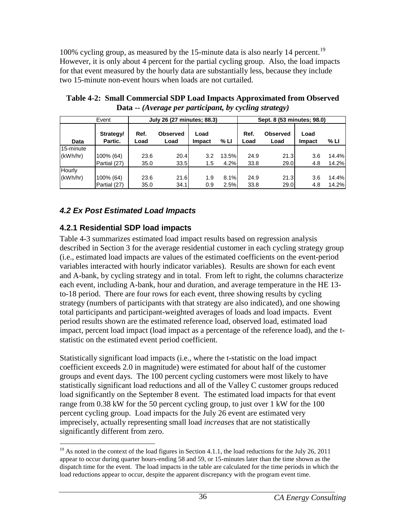100% cycling group, as measured by the 15-minute data is also nearly 14 percent.<sup>19</sup> However, it is only about 4 percent for the partial cycling group. Also, the load impacts for that event measured by the hourly data are substantially less, because they include two 15-minute non-event hours when loads are not curtailed.

|             | Event                |              | July 26 (27 minutes; 88.3) |                |       |              | Sept. 8 (53 minutes; 98.0) |                |       |
|-------------|----------------------|--------------|----------------------------|----------------|-------|--------------|----------------------------|----------------|-------|
| <b>Data</b> | Strategy/<br>Partic. | Ref.<br>Load | <b>Observed</b><br>Load    | Load<br>Impact | % LI  | Ref.<br>Load | <b>Observed</b><br>Load    | Load<br>Impact | % LI  |
| 15-minute   |                      |              |                            |                |       |              |                            |                |       |
| (kWh/hr)    | 100% (64)            | 23.6         | 20.4                       | 3.2            | 13.5% | 24.9         | 21.3                       | 3.6            | 14.4% |
|             | Partial (27)         | 35.0         | 33.5                       | 1.5            | 4.2%  | 33.8         | 29.0                       | 4.8            | 14.2% |
| Hourly      |                      |              |                            |                |       |              |                            |                |       |
| (kWh/hr)    | 100% (64)            | 23.6         | 21.6                       | 1.9            | 8.1%  | 24.9         | 21.3                       | 3.6            | 14.4% |
|             | Partial (27)         | 35.0         | 34.1                       | 0.9            | 2.5%  | 33.8         | 29.0                       | 4.8            | 14.2% |

<span id="page-40-2"></span>**Table 4-2: Small Commercial SDP Load Impacts Approximated from Observed Data --** *(Average per participant, by cycling strategy)*

# <span id="page-40-0"></span>*4.2 Ex Post Estimated Load Impacts*

## <span id="page-40-1"></span>**4.2.1 Residential SDP load impacts**

 $\overline{a}$ 

Table 4-3 summarizes estimated load impact results based on regression analysis described in Section 3 for the average residential customer in each cycling strategy group (i.e., estimated load impacts are values of the estimated coefficients on the event-period variables interacted with hourly indicator variables). Results are shown for each event and A-bank, by cycling strategy and in total. From left to right, the columns characterize each event, including A-bank, hour and duration, and average temperature in the HE 13 to-18 period. There are four rows for each event, three showing results by cycling strategy (numbers of participants with that strategy are also indicated), and one showing total participants and participant-weighted averages of loads and load impacts. Event period results shown are the estimated reference load, observed load, estimated load impact, percent load impact (load impact as a percentage of the reference load), and the tstatistic on the estimated event period coefficient.

Statistically significant load impacts (i.e., where the t-statistic on the load impact coefficient exceeds 2.0 in magnitude) were estimated for about half of the customer groups and event days. The 100 percent cycling customers were most likely to have statistically significant load reductions and all of the Valley C customer groups reduced load significantly on the September 8 event. The estimated load impacts for that event range from 0.38 kW for the 50 percent cycling group, to just over 1 kW for the 100 percent cycling group. Load impacts for the July 26 event are estimated very imprecisely, actually representing small load *increases* that are not statistically significantly different from zero.

<sup>&</sup>lt;sup>19</sup> As noted in the context of the load figures in Section 4.1.1, the load reductions for the July 26, 2011 appear to occur during quarter hours-ending 58 and 59, or 15-minutes later than the time shown as the dispatch time for the event. The load impacts in the table are calculated for the time periods in which the load reductions appear to occur, despite the apparent discrepancy with the program event time.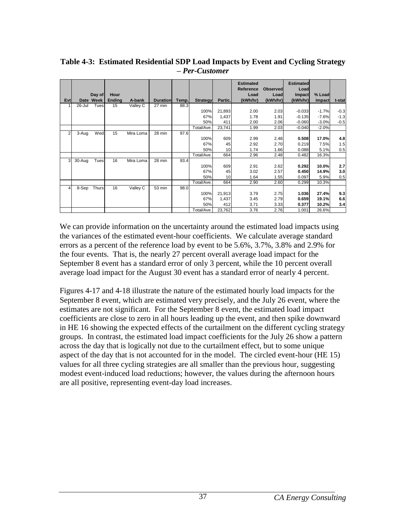| Evtl           |        | Day of<br>Date Week | Hour<br><b>Ending</b> | A-bank    | <b>Durationl</b> | Temp. | <b>Strategy</b> | Partic.         | <b>Estimated</b><br>Reference<br>Load<br>(kWh/hr) | <b>Observed</b><br>Load<br>(kWh/hr) | <b>Estimated</b><br>Load<br><b>Impact</b><br>(kWh/hr) | % Load<br>Impact | t-stat |
|----------------|--------|---------------------|-----------------------|-----------|------------------|-------|-----------------|-----------------|---------------------------------------------------|-------------------------------------|-------------------------------------------------------|------------------|--------|
|                | 26-Jul | Tues                | 15                    | Valley C  | 27 min           | 88.3  |                 |                 |                                                   |                                     |                                                       |                  |        |
|                |        |                     |                       |           |                  |       | 100%            | 21,893          | 2.00                                              | 2.03                                | $-0.033$                                              | $-1.7%$          | $-0.3$ |
|                |        |                     |                       |           |                  |       | 67%             | 1,437           | 1.78                                              | 1.91                                | $-0.135$                                              | $-7.6%$          | $-1.3$ |
|                |        |                     |                       |           |                  |       | 50%             | 411             | 2.00                                              | 2.06                                | $-0.060$                                              | $-3.0%$          | $-0.5$ |
|                |        |                     |                       |           |                  |       | Total/Ave.      | 23,741          | 1.99                                              | 2.03                                | $-0.040$                                              | $-2.0%$          |        |
| $\overline{2}$ | 3-Aug  | Wed                 | 15                    | Mira Loma | 28 min           | 97.6  |                 |                 |                                                   |                                     |                                                       |                  |        |
|                |        |                     |                       |           |                  |       | 100%            | 609             | 2.99                                              | 2.48                                | 0.508                                                 | 17.0%            | 4.8    |
|                |        |                     |                       |           |                  |       | 67%             | 45              | 2.92                                              | 2.70                                | 0.219                                                 | 7.5%             | 1.5    |
|                |        |                     |                       |           |                  |       | 50%             | 10 <sup>1</sup> | 1.74                                              | 1.66                                | 0.088                                                 | 5.1%             | 0.5    |
|                |        |                     |                       |           |                  |       | Total/Ave.      | 664             | 2.96                                              | 2.48                                | 0.482                                                 | 16.3%            |        |
| 3              | 30-Aug | Tues                | 16                    | Mira Loma | 28 min           | 93.4  |                 |                 |                                                   |                                     |                                                       |                  |        |
|                |        |                     |                       |           |                  |       | 100%            | 609             | 2.91                                              | 2.62                                | 0.292                                                 | 10.0%            | 2.7    |
|                |        |                     |                       |           |                  |       | 67%             | 45              | 3.02                                              | 2.57                                | 0.450                                                 | 14.9%            | 3.0    |
|                |        |                     |                       |           |                  |       | 50%             | 10 <sub>1</sub> | 1.64                                              | 1.55                                | 0.097                                                 | 5.9%             | 0.5    |
|                |        |                     |                       |           |                  |       | Total/Ave.      | 664             | 2.90                                              | 2.60                                | 0.299                                                 | 10.3%            |        |
| $\overline{4}$ | 8-Sep  | Thurs               | 16                    | Valley C  | 53 min           | 98.0  |                 |                 |                                                   |                                     |                                                       |                  |        |
|                |        |                     |                       |           |                  |       | 100%            | 21,913          | 3.79                                              | 2.75                                | 1.036                                                 | 27.4%            | 9.3    |
|                |        |                     |                       |           |                  |       | 67%             | 1,437           | 3.45                                              | 2.79                                | 0.659                                                 | 19.1%            | 6.6    |
|                |        |                     |                       |           |                  |       | 50%             | 412             | 3.71                                              | 3.33                                | 0.377                                                 | 10.2%            | 3.4    |
|                |        |                     |                       |           |                  |       | Total/Ave.      | 23,762          | 3.76                                              | 2.76                                | 1.001                                                 | 26.6%            |        |

<span id="page-41-0"></span>**Table 4-3: Estimated Residential SDP Load Impacts by Event and Cycling Strategy –** *Per***-***Customer*

We can provide information on the uncertainty around the estimated load impacts using the variances of the estimated event-hour coefficients. We calculate average standard errors as a percent of the reference load by event to be 5.6%, 3.7%, 3.8% and 2.9% for the four events. That is, the nearly 27 percent overall average load impact for the September 8 event has a standard error of only 3 percent, while the 10 percent overall average load impact for the August 30 event has a standard error of nearly 4 percent.

Figures 4-17 and 4-18 illustrate the nature of the estimated hourly load impacts for the September 8 event, which are estimated very precisely, and the July 26 event, where the estimates are not significant. For the September 8 event, the estimated load impact coefficients are close to zero in all hours leading up the event, and then spike downward in HE 16 showing the expected effects of the curtailment on the different cycling strategy groups. In contrast, the estimated load impact coefficients for the July 26 show a pattern across the day that is logically not due to the curtailment effect, but to some unique aspect of the day that is not accounted for in the model. The circled event-hour (HE 15) values for all three cycling strategies are all smaller than the previous hour, suggesting modest event-induced load reductions; however, the values during the afternoon hours are all positive, representing event-day load increases.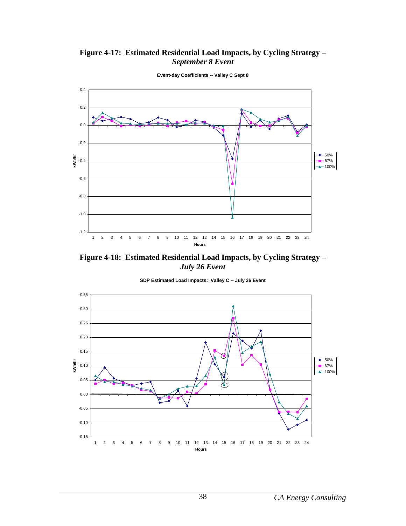<span id="page-42-0"></span>**Figure 4-17: Estimated Residential Load Impacts, by Cycling Strategy –** *September 8 Event*



**Event-day Coefficients -- Valley C Sept 8**

<span id="page-42-1"></span>**Figure 4-18: Estimated Residential Load Impacts, by Cycling Strategy –** *July 26 Event*

**SDP Estimated Load Impacts: Valley C -- July 26 Event**

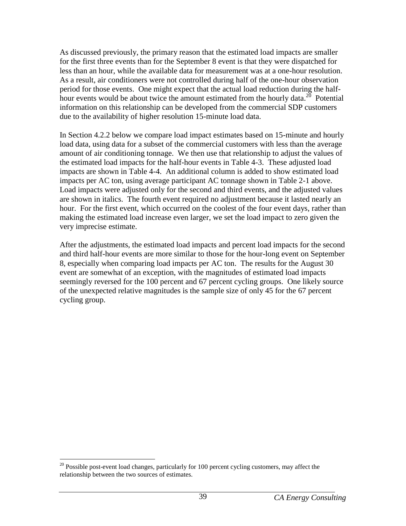As discussed previously, the primary reason that the estimated load impacts are smaller for the first three events than for the September 8 event is that they were dispatched for less than an hour, while the available data for measurement was at a one-hour resolution. As a result, air conditioners were not controlled during half of the one-hour observation period for those events. One might expect that the actual load reduction during the halfhour events would be about twice the amount estimated from the hourly data.<sup>20</sup> Potential information on this relationship can be developed from the commercial SDP customers due to the availability of higher resolution 15-minute load data.

In Section 4.2.2 below we compare load impact estimates based on 15-minute and hourly load data, using data for a subset of the commercial customers with less than the average amount of air conditioning tonnage. We then use that relationship to adjust the values of the estimated load impacts for the half-hour events in Table 4-3. These adjusted load impacts are shown in Table 4-4. An additional column is added to show estimated load impacts per AC ton, using average participant AC tonnage shown in Table 2-1 above. Load impacts were adjusted only for the second and third events, and the adjusted values are shown in italics. The fourth event required no adjustment because it lasted nearly an hour. For the first event, which occurred on the coolest of the four event days, rather than making the estimated load increase even larger, we set the load impact to zero given the very imprecise estimate.

After the adjustments, the estimated load impacts and percent load impacts for the second and third half-hour events are more similar to those for the hour-long event on September 8, especially when comparing load impacts per AC ton. The results for the August 30 event are somewhat of an exception, with the magnitudes of estimated load impacts seemingly reversed for the 100 percent and 67 percent cycling groups. One likely source of the unexpected relative magnitudes is the sample size of only 45 for the 67 percent cycling group.

 $\overline{a}$  $20$  Possible post-event load changes, particularly for 100 percent cycling customers, may affect the relationship between the two sources of estimates.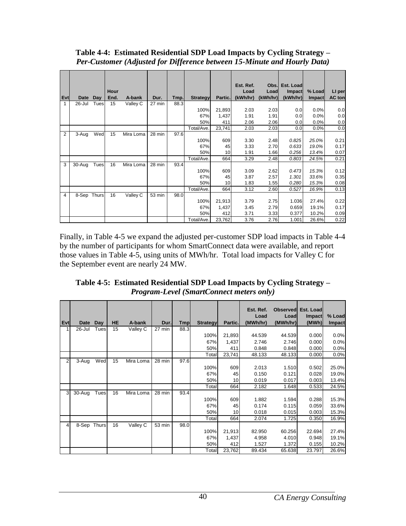| Evt            | Date        | Day   | Hour<br>End. | A-bank    | Dur.   | Tmp. | <b>Strategy</b> | Partic. | Est. Ref.<br>Load<br>(kWh/hr) | Load<br>(kWh/hr) | Obs. Est. Load<br><b>Impact</b><br>(kWh/hr) | % Load<br><b>Impact</b> | LI per<br><b>AC</b> ton |
|----------------|-------------|-------|--------------|-----------|--------|------|-----------------|---------|-------------------------------|------------------|---------------------------------------------|-------------------------|-------------------------|
| $\mathbf{1}$   | 26-Jul      | Tuesl | 15           | Valley C  | 27 min | 88.3 |                 |         |                               |                  |                                             |                         |                         |
|                |             |       |              |           |        |      | 100%            | 21,893  | 2.03                          | 2.03             | 0.0                                         | 0.0%                    | 0.0                     |
|                |             |       |              |           |        |      | 67%             | 1,437   | 1.91                          | 1.91             | 0.0                                         | 0.0%                    | 0.0                     |
|                |             |       |              |           |        |      | 50%             | 411     | 2.06                          | 2.06             | 0.0                                         | 0.0%                    | 0.0                     |
|                |             |       |              |           |        |      | Total/Ave.      | 23,741  | 2.03                          | 2.03             | 0.0                                         | 0.0%                    | 0.0                     |
| $\overline{2}$ | 3-Aug       | Wed   | 15           | Mira Loma | 28 min | 97.6 |                 |         |                               |                  |                                             |                         |                         |
|                |             |       |              |           |        |      | 100%            | 609     | 3.30                          | 2.48             | 0.825                                       | 25.0%                   | 0.21                    |
|                |             |       |              |           |        |      | 67%             | 45      | 3.33                          | 2.70             | 0.633                                       | 19.0%                   | 0.17                    |
|                |             |       |              |           |        |      | 50%             | 10      | 1.91                          | 1.66             | 0.256                                       | 13.4%                   | 0.07                    |
|                |             |       |              |           |        |      | Total/Ave.      | 664     | 3.29                          | 2.48             | 0.803                                       | 24.5%                   | 0.21                    |
| 3              | $30 - Aug$  | Tues  | 16           | Mira Loma | 28 min | 93.4 |                 |         |                               |                  |                                             |                         |                         |
|                |             |       |              |           |        |      | 100%            | 609     | 3.09                          | 2.62             | 0.473                                       | 15.3%                   | 0.12                    |
|                |             |       |              |           |        |      | 67%             | 45      | 3.87                          | 2.57             | 1.301                                       | 33.6%                   | 0.35                    |
|                |             |       |              |           |        |      | 50%             | 10      | 1.83                          | 1.55             | 0.280                                       | 15.3%                   | 0.08                    |
|                |             |       |              |           |        |      | Total/Ave.      | 664     | 3.12                          | 2.60             | 0.527                                       | 16.9%                   | 0.13                    |
| 4              | 8-Sep Thurs |       | 16           | Valley C  | 53 min | 98.0 |                 |         |                               |                  |                                             |                         |                         |
|                |             |       |              |           |        |      | 100%            | 21,913  | 3.79                          | 2.75             | 1.036                                       | 27.4%                   | 0.22                    |
|                |             |       |              |           |        |      | 67%             | 1,437   | 3.45                          | 2.79             | 0.659                                       | 19.1%                   | 0.17                    |
|                |             |       |              |           |        |      | 50%             | 412     | 3.71                          | 3.33             | 0.377                                       | 10.2%                   | 0.09                    |
|                |             |       |              |           |        |      | Total/Ave.      | 23,762  | 3.76                          | 2.76             | 1.001                                       | 26.6%                   | 0.22                    |

<span id="page-44-0"></span>**Table 4-4: Estimated Residential SDP Load Impacts by Cycling Strategy –** *Per***-***Customer (Adjusted for Difference between 15-Minute and Hourly Data)*

Finally, in Table 4-5 we expand the adjusted per-customer SDP load impacts in Table 4-4 by the number of participants for whom SmartConnect data were available, and report those values in Table 4-5, using units of MWh/hr. Total load impacts for Valley C for the September event are nearly 24 MW.

<span id="page-44-1"></span>**Table 4-5: Estimated Residential SDP Load Impacts by Cycling Strategy –** *Program***-***Level (SmartConnect meters only)*

| Evt            | Date        | Day  | <b>HE</b> | A-bank    | Dur.   | <b>Tmp</b> | <b>Strategyl</b> | Partic.         | Est. Ref.<br>Load<br>(MWh/hr) | <b>Observed</b><br>Load<br>(MWh/hr) | Est. Load<br><b>Impact</b><br>(MWh) | % Load<br><b>Impact</b> |
|----------------|-------------|------|-----------|-----------|--------|------------|------------------|-----------------|-------------------------------|-------------------------------------|-------------------------------------|-------------------------|
| 1              | 26-Jul      | Tues | 15        | Valley C  | 27 min | 88.3       |                  |                 |                               |                                     |                                     |                         |
|                |             |      |           |           |        |            | 100%             | 21,893          | 44.539                        | 44.539                              | 0.000                               | 0.0%                    |
|                |             |      |           |           |        |            | 67%              | 1,437           | 2.746                         | 2.746                               | 0.000                               | 0.0%                    |
|                |             |      |           |           |        |            | 50%              | 411             | 0.848                         | 0.848                               | 0.000                               | 0.0%                    |
|                |             |      |           |           |        |            | Total            | 23,741          | 48.133                        | 48.133                              | 0.000                               | 0.0%                    |
| $\overline{2}$ | 3-Aug       | Wed  | 15        | Mira Loma | 28 min | 97.6       |                  |                 |                               |                                     |                                     |                         |
|                |             |      |           |           |        |            | 100%             | 609             | 2.013                         | 1.510                               | 0.502                               | 25.0%                   |
|                |             |      |           |           |        |            | 67%              | 45              | 0.150                         | 0.121                               | 0.028                               | 19.0%                   |
|                |             |      |           |           |        |            | 50%              | 10 <sup>1</sup> | 0.019                         | 0.017                               | 0.003                               | 13.4%                   |
|                |             |      |           |           |        |            | Total            | 664             | 2.182                         | 1.648                               | 0.533                               | 24.5%                   |
| 3              | 30-Aug      | Tues | 16        | Mira Loma | 28 min | 93.4       |                  |                 |                               |                                     |                                     |                         |
|                |             |      |           |           |        |            | 100%             | 609             | 1.882                         | 1.594                               | 0.288                               | 15.3%                   |
|                |             |      |           |           |        |            | 67%              | 45              | 0.174                         | 0.115                               | 0.059                               | 33.6%                   |
|                |             |      |           |           |        |            | 50%              | 10 <sup>1</sup> | 0.018                         | 0.015                               | 0.003                               | 15.3%                   |
|                |             |      |           |           |        |            | Total            | 664             | 2.074                         | 1.725                               | 0.350                               | 16.9%                   |
| $\overline{4}$ | 8-Sep Thurs |      | 16        | Valley C  | 53 min | 98.0       |                  |                 |                               |                                     |                                     |                         |
|                |             |      |           |           |        |            | 100%             | 21,913          | 82.950                        | 60.256                              | 22.694                              | 27.4%                   |
|                |             |      |           |           |        |            | 67%              | 1,437           | 4.958                         | 4.010                               | 0.948                               | 19.1%                   |
|                |             |      |           |           |        |            | 50%              | 412             | 1.527                         | 1.372                               | 0.155                               | 10.2%                   |
|                |             |      |           |           |        |            | Total            | 23,762          | 89.434                        | 65.638                              | 23.797                              | 26.6%                   |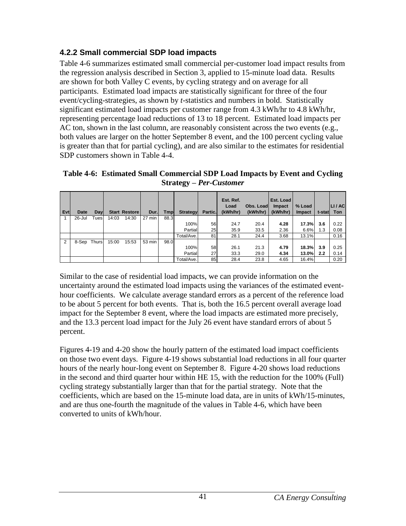# <span id="page-45-0"></span>**4.2.2 Small commercial SDP load impacts**

Table 4-6 summarizes estimated small commercial per-customer load impact results from the regression analysis described in Section 3, applied to 15-minute load data. Results are shown for both Valley C events, by cycling strategy and on average for all participants. Estimated load impacts are statistically significant for three of the four event/cycling-strategies, as shown by *t*-statistics and numbers in bold. Statistically significant estimated load impacts per customer range from 4.3 kWh/hr to 4.8 kWh/hr, representing percentage load reductions of 13 to 18 percent. Estimated load impacts per AC ton, shown in the last column, are reasonably consistent across the two events (e.g., both values are larger on the hotter September 8 event, and the 100 percent cycling value is greater than that for partial cycling), and are also similar to the estimates for residential SDP customers shown in Table 4-4.

<span id="page-45-1"></span>**Table 4-6: Estimated Small Commercial SDP Load Impacts by Event and Cycling Strategy –** *Per***-***Customer*

| Evtl | <b>Date</b> | Day  |       | <b>Start Restore</b> | Dur.   | Tmp  | Strategyl  | Partic. | Est. Ref.<br>Load<br>(kWh/hr) | Obs. Load<br>(kWh/hr) | Est. Load<br><b>Impact</b><br>(kWh/hr) | % Load<br>Impact | t-stat | LI / AC<br><b>Ton</b> |
|------|-------------|------|-------|----------------------|--------|------|------------|---------|-------------------------------|-----------------------|----------------------------------------|------------------|--------|-----------------------|
|      | 26-Jul      | Tues | 14:03 | 14:30                | 27 min | 88.3 |            |         |                               |                       |                                        |                  |        |                       |
|      |             |      |       |                      |        |      | 100%       | 56      | 24.7                          | 20.4                  | 4.28                                   | 17.3%l           | 3.6    | 0.22                  |
|      |             |      |       |                      |        |      | Partial    | 25      | 35.9                          | 33.5                  | 2.36                                   | 6.6%             | 1.3    | 0.08                  |
|      |             |      |       |                      |        |      | Total/Ave. | 81      | 28.1                          | 24.4                  | 3.68                                   | 13.1%            |        | 0.16                  |
| 2    | 8-Sep Thurs |      | 15:00 | 15:53                | 53 min | 98.0 |            |         |                               |                       |                                        |                  |        |                       |
|      |             |      |       |                      |        |      | 100%       | 58      | 26.1                          | 21.3                  | 4.79                                   | 18.3%            | 3.9    | 0.25                  |
|      |             |      |       |                      |        |      | Partial    | 27      | 33.3                          | 29.0                  | 4.34                                   | 13.0%            | 2.2    | 0.14                  |
|      |             |      |       |                      |        |      | Total/Ave. | 85      | 28.4                          | 23.8                  | 4.65                                   | 16.4%            |        | 0.20                  |

Similar to the case of residential load impacts, we can provide information on the uncertainty around the estimated load impacts using the variances of the estimated eventhour coefficients. We calculate average standard errors as a percent of the reference load to be about 5 percent for both events. That is, both the 16.5 percent overall average load impact for the September 8 event, where the load impacts are estimated more precisely, and the 13.3 percent load impact for the July 26 event have standard errors of about 5 percent.

Figures 4-19 and 4-20 show the hourly pattern of the estimated load impact coefficients on those two event days. Figure 4-19 shows substantial load reductions in all four quarter hours of the nearly hour-long event on September 8. Figure 4-20 shows load reductions in the second and third quarter hour within HE 15, with the reduction for the 100% (Full) cycling strategy substantially larger than that for the partial strategy. Note that the coefficients, which are based on the 15-minute load data, are in units of kWh/15-minutes, and are thus one-fourth the magnitude of the values in Table 4-6, which have been converted to units of kWh/hour.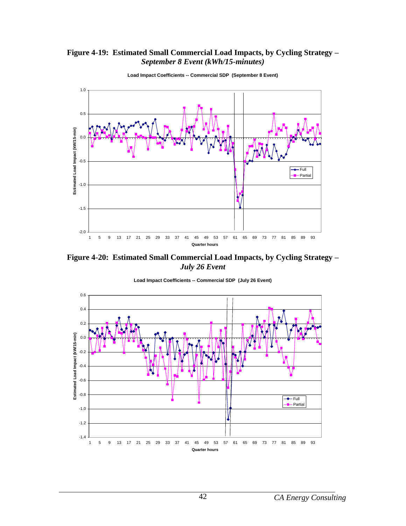#### <span id="page-46-0"></span>**Figure 4-19: Estimated Small Commercial Load Impacts, by Cycling Strategy –** *September 8 Event (kWh/15-minutes)*



**Load Impact Coefficients -- Commercial SDP (September 8 Event)**

<span id="page-46-1"></span>**Figure 4-20: Estimated Small Commercial Load Impacts, by Cycling Strategy –** *July 26 Event*



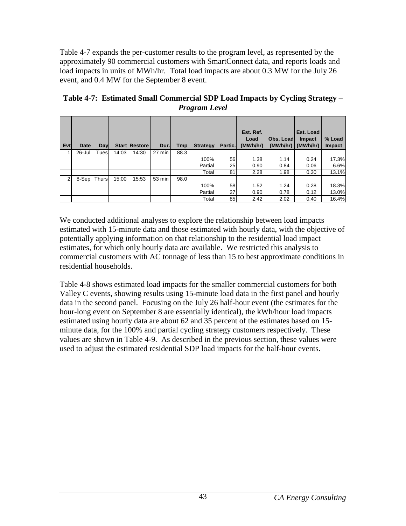Table 4-7 expands the per-customer results to the program level, as represented by the approximately 90 commercial customers with SmartConnect data, and reports loads and load impacts in units of MWh/hr. Total load impacts are about 0.3 MW for the July 26 event, and 0.4 MW for the September 8 event.

<span id="page-47-1"></span>

| Evt            | Date        | Dayl |       | <b>Start Restore</b> | Dur.   | Tmpl | <b>Strategy</b> | Partic. | Est. Ref.<br>Load<br>(MWh/hr) | Obs. Load<br>(MWh/hr) | Est. Load<br><b>Impact</b><br>(MWh/hr) | % Load<br><b>Impact</b> |
|----------------|-------------|------|-------|----------------------|--------|------|-----------------|---------|-------------------------------|-----------------------|----------------------------------------|-------------------------|
|                | 26-Jul      | Tues | 14:03 | 14:30                | 27 min | 88.3 |                 |         |                               |                       |                                        |                         |
|                |             |      |       |                      |        |      | 100%            | 56      | 1.38                          | 1.14                  | 0.24                                   | 17.3%                   |
|                |             |      |       |                      |        |      | Partial         | 25      | 0.90                          | 0.84                  | 0.06                                   | 6.6%                    |
|                |             |      |       |                      |        |      | Total           | 81      | 2.28                          | 1.98                  | 0.30                                   | 13.1%                   |
| $\overline{2}$ | 8-Sep Thurs |      | 15:00 | 15:53                | 53 min | 98.0 |                 |         |                               |                       |                                        |                         |
|                |             |      |       |                      |        |      | 100%            | 58      | 1.52                          | 1.24                  | 0.28                                   | 18.3%                   |
|                |             |      |       |                      |        |      | Partial         | 27      | 0.90                          | 0.78                  | 0.12                                   | 13.0%                   |
|                |             |      |       |                      |        |      | Total           | 85      | 2.42                          | 2.02                  | 0.40                                   | 16.4%                   |

<span id="page-47-0"></span>**Table 4-7: Estimated Small Commercial SDP Load Impacts by Cycling Strategy –** *Program Level*

We conducted additional analyses to explore the relationship between load impacts estimated with 15-minute data and those estimated with hourly data, with the objective of potentially applying information on that relationship to the residential load impact estimates, for which only hourly data are available. We restricted this analysis to commercial customers with AC tonnage of less than 15 to best approximate conditions in residential households.

Table 4-8 shows estimated load impacts for the smaller commercial customers for both Valley C events, showing results using 15-minute load data in the first panel and hourly data in the second panel. Focusing on the July 26 half-hour event (the estimates for the hour-long event on September 8 are essentially identical), the kWh/hour load impacts estimated using hourly data are about 62 and 35 percent of the estimates based on 15 minute data, for the 100% and partial cycling strategy customers respectively. These values are shown in Table 4-9. As described in the previous section, these values were used to adjust the estimated residential SDP load impacts for the half-hour events.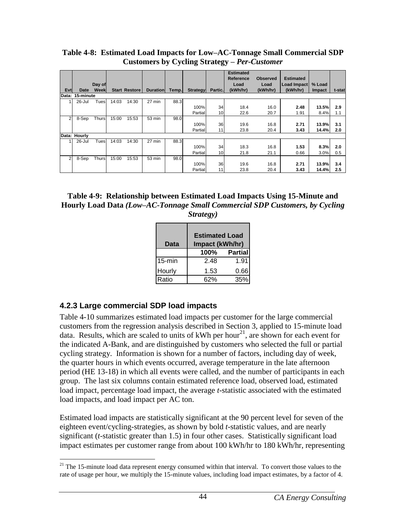|                |                 |              |       |               |                 |       |                 |                 | <b>Estimated</b><br>Reference | <b>Observed</b> | <b>Estimated</b> |        |        |
|----------------|-----------------|--------------|-------|---------------|-----------------|-------|-----------------|-----------------|-------------------------------|-----------------|------------------|--------|--------|
|                |                 | Day of       |       |               |                 |       |                 |                 | Load                          | Load            | Load Impact      | % Load |        |
| Evt            | Date            | Weekl        |       | Start Restore | <b>Duration</b> | Temp. | <b>Strategy</b> | Partic.         | (kWh/hr)                      | (kWh/hr)        | (kWh/hr)         | Impact | t-stat |
|                | Data: 15-minute |              |       |               |                 |       |                 |                 |                               |                 |                  |        |        |
|                | 26-Jul          | Tues         | 14:03 | 14:30         | 27 min          | 88.3  |                 |                 |                               |                 |                  |        |        |
|                |                 |              |       |               |                 |       | 100%            | 34              | 18.4                          | 16.0            | 2.48             | 13.5%  | 2.9    |
|                |                 |              |       |               |                 |       | Partial         | 10 <sup>1</sup> | 22.6                          | 20.7            | 1.91             | 8.4%   | 1.1    |
| $\overline{2}$ | 8-Sep           | Thurs        | 15:00 | 15:53         | 53 min          | 98.0  |                 |                 |                               |                 |                  |        |        |
|                |                 |              |       |               |                 |       | 100%            | 36              | 19.6                          | 16.8            | 2.71             | 13.9%  | 3.1    |
|                |                 |              |       |               |                 |       | Partial         | 11              | 23.8                          | 20.4            | 3.43             | 14.4%  | 2.0    |
|                | Data: Hourly    |              |       |               |                 |       |                 |                 |                               |                 |                  |        |        |
|                | $26 -$ Jul      | Tues         | 14:03 | 14:30         | 27 min          | 88.3  |                 |                 |                               |                 |                  |        |        |
|                |                 |              |       |               |                 |       | 100%            | 34              | 18.3                          | 16.8            | 1.53             | 8.3%   | 2.0    |
|                |                 |              |       |               |                 |       | Partial         | 10              | 21.8                          | 21.1            | 0.66             | 3.0%   | 0.5    |
| 2              | 8-Sep           | <b>Thurs</b> | 15:00 | 15:53         | 53 min          | 98.0  |                 |                 |                               |                 |                  |        |        |
|                |                 |              |       |               |                 |       | 100%            | 36              | 19.6                          | 16.8            | 2.71             | 13.9%  | 3.4    |
|                |                 |              |       |               |                 |       | Partial         | 11              | 23.8                          | 20.4            | 3.43             | 14.4%  | 2.5    |

<span id="page-48-1"></span>**Table 4-8: Estimated Load Impacts for Low–AC-Tonnage Small Commercial SDP Customers by Cycling Strategy –** *Per***-***Customer*

<span id="page-48-2"></span>**Table 4-9: Relationship between Estimated Load Impacts Using 15-Minute and Hourly Load Data** *(Low–AC-Tonnage Small Commercial SDP Customers, by Cycling Strategy)*

| Data      | <b>Estimated Load</b><br>Impact (kWh/hr) |                |
|-----------|------------------------------------------|----------------|
|           | 100%                                     | <b>Partial</b> |
| $15$ -min | 2 48                                     | 1.91           |
| Hourly    | 1.53                                     | 0.66           |
| Ratio     | 62%                                      | 35%            |

# <span id="page-48-0"></span>**4.2.3 Large commercial SDP load impacts**

Table 4-10 summarizes estimated load impacts per customer for the large commercial customers from the regression analysis described in Section 3, applied to 15-minute load data. Results, which are scaled to units of kWh per hour<sup>21</sup>, are shown for each event for the indicated A-Bank, and are distinguished by customers who selected the full or partial cycling strategy. Information is shown for a number of factors, including day of week, the quarter hours in which events occurred, average temperature in the late afternoon period (HE 13-18) in which all events were called, and the number of participants in each group. The last six columns contain estimated reference load, observed load, estimated load impact, percentage load impact, the average *t*-statistic associated with the estimated load impacts, and load impact per AC ton.

Estimated load impacts are statistically significant at the 90 percent level for seven of the eighteen event/cycling-strategies, as shown by bold *t*-statistic values, and are nearly significant (*t*-statistic greater than 1.5) in four other cases. Statistically significant load impact estimates per customer range from about 100 kWh/hr to 180 kWh/hr, representing

 $\overline{a}$  $21$  The 15-minute load data represent energy consumed within that interval. To convert those values to the rate of usage per hour, we multiply the 15-minute values, including load impact estimates, by a factor of 4.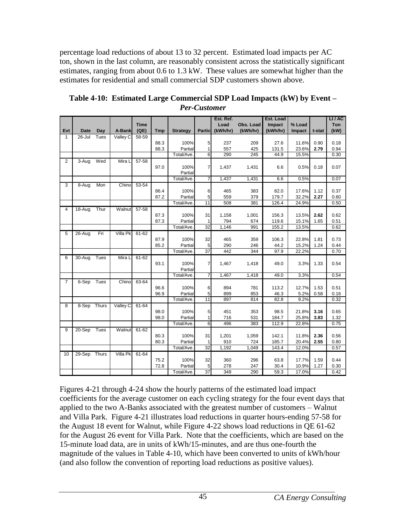percentage load reductions of about 13 to 32 percent. Estimated load impacts per AC ton, shown in the last column, are reasonably consistent across the statistically significant estimates, ranging from about 0.6 to 1.3 kW. These values are somewhat higher than the estimates for residential and small commercial SDP customers shown above.

|                |              |      |                 |             |            |                 |                 | Est. Ref. |           | Est. Load |        |        | LI / AC |
|----------------|--------------|------|-----------------|-------------|------------|-----------------|-----------------|-----------|-----------|-----------|--------|--------|---------|
|                |              |      |                 | <b>Time</b> |            |                 |                 | Load      | Obs. Load | Impact    | % Load |        | Ton     |
| Evt            | Date         | Day  | A-Bank          | (QE)        | <b>Tmp</b> | <b>Strategy</b> | <b>Particl</b>  | (kWh/hr)  | (kWh/hr)  | (kWh/hr)  | Impact | t-stat | (kW)    |
| $\mathbf{1}$   | 26-Jul       | Tues | Valley C        | 58-59       |            |                 |                 |           |           |           |        |        |         |
|                |              |      |                 |             | 88.3       | 100%            | 5               | 237       | 209       | 27.6      | 11.6%  | 0.90   | 0.18    |
|                |              |      |                 |             | 88.3       | Partial         | $\mathbf{1}$    | 557       | 425       | 131.5     | 23.6%  | 2.79   | 0.94    |
|                |              |      |                 |             |            | Total/Ave.      | 6               | 290       | 245       | 44.9      | 15.5%  |        | 0.30    |
| $\overline{2}$ | $3-Aug$      | Wed  | Mira L          | $57 - 58$   |            |                 |                 |           |           |           |        |        |         |
|                |              |      |                 |             | 97.0       | 100%            | $\overline{7}$  | 1,437     | 1,431     | 6.6       | 0.5%   | 0.18   | 0.07    |
|                |              |      |                 |             |            | Partial         |                 |           |           |           |        |        |         |
|                |              |      |                 |             |            | Total/Ave.      | 7               | 1,437     | 1,431     | 6.6       | 0.5%   |        | 0.07    |
| $\overline{3}$ | 8-Aug        | Mon  | Chino           | 53-54       |            |                 |                 |           |           |           |        |        |         |
|                |              |      |                 |             | 86.4       | 100%            | 6               | 465       | 383       | 82.0      | 17.6%  | 1.12   | 0.37    |
|                |              |      |                 |             | 87.2       | Partial         | 5               | 559       | 379       | 179.7     | 32.2%  | 2.27   | 0.60    |
|                |              |      |                 |             |            | Total/Ave.      | 11              | 508       | 381       | 126.4     | 24.9%  |        | 0.50    |
| 4              | 18-Aug       | Thur | <b>Walnut</b>   | $57 - 58$   |            |                 |                 |           |           |           |        |        |         |
|                |              |      |                 |             | 87.3       | 100%            | 31              | 1,158     | 1,001     | 156.3     | 13.5%  | 2.62   | 0.62    |
|                |              |      |                 |             | 87.3       | Partial         | 1               | 794       | 674       | 119.6     | 15.1%  | 1.65   | 0.51    |
|                |              |      |                 |             |            | Total/Ave.      | 32              | 1,146     | 991       | 155.2     | 13.5%  |        | 0.62    |
| 5              | $26 - Aug$   | Fri  | <b>Villa Pk</b> | $61 - 62$   |            |                 |                 |           |           |           |        |        |         |
|                |              |      |                 |             | 87.9       | 100%            | 32              | 465       | 359       | 106.3     | 22.8%  | 1.81   | 0.73    |
|                |              |      |                 |             | 85.2       | Partial         | 5               | 290       | 246       | 44.2      | 15.2%  | 1.24   | 0.44    |
|                |              |      |                 |             |            | Total/Ave.      | $\overline{37}$ | 442       | 344       | 97.9      | 22.2%  |        | 0.70    |
| 6              | 30-Aug       | Tues | Mira L          | $61 - 62$   |            |                 |                 |           |           |           |        |        |         |
|                |              |      |                 |             | 93.1       | 100%            | $\overline{7}$  | 1.467     | 1,418     | 49.0      | 3.3%   | 1.33   | 0.54    |
|                |              |      |                 |             |            | Partial         |                 |           |           |           |        |        |         |
|                |              |      |                 |             |            | Total/Ave.      | 7               | 1,467     | 1,418     | 49.0      | 3.3%   |        | 0.54    |
| $\overline{7}$ | 6-Sep        | Tues | Chino           | 63-64       |            |                 |                 |           |           |           |        |        |         |
|                |              |      |                 |             | 96.6       | 100%            | 6               | 894       | 781       | 113.2     | 12.7%  | 1.53   | 0.51    |
|                |              |      |                 |             | 96.9       | Partial         | 5               | 899       | 853       | 46.3      | 5.2%   | 0.58   | 0.16    |
|                |              |      |                 |             |            | Total/Ave.      | 11              | 897       | 814       | 82.8      | 9.2%   |        | 0.32    |
| 8              | 8-Sep Thurs  |      | Valley C        | 61-64       |            |                 |                 |           |           |           |        |        |         |
|                |              |      |                 |             | 98.0       | 100%            | 5               | 451       | 353       | 98.5      | 21.8%  | 3.16   | 0.65    |
|                |              |      |                 |             | 98.0       | Partial         | $\mathbf{1}$    | 716       | 531       | 184.7     | 25.8%  | 3.83   | 1.32    |
|                |              |      |                 |             |            | Total/Ave       | 6               | 496       | 383       | 112.9     | 22.8%  |        | 0.75    |
| 9              | 20-Sep       | Tues | Walnut          | 61-62       |            |                 |                 |           |           |           |        |        |         |
|                |              |      |                 |             | 80.3       | 100%            | 31              | 1,201     | 1,059     | 142.1     | 11.8%  | 2.36   | 0.56    |
|                |              |      |                 |             | 80.3       | Partial         | 1               | 910       | 724       | 185.7     | 20.4%  | 2.55   | 0.80    |
|                |              |      |                 |             |            | Total/Ave       | 32              | 1,192     | 1,049     | 143.4     | 12.0%  |        | 0.57    |
| 10             | 29-Sep Thurs |      | Villa Pk        | 61-64       |            |                 |                 |           |           |           |        |        |         |
|                |              |      |                 |             | 75.2       | 100%            | 32              | 360       | 296       | 63.8      | 17.7%  | 1.59   | 0.44    |
|                |              |      |                 |             | 72.8       | Partial         | 5               | 278       | 247       | 30.4      | 10.9%  | 1.27   | 0.30    |
|                |              |      |                 |             |            | Total/Ave.      | $\overline{37}$ | 349       | 290       | 59.3      | 17.0%  |        | 0.42    |

<span id="page-49-0"></span>**Table 4-10: Estimated Large Commercial SDP Load Impacts (kW) by Event –** *Per***-***Customer*

Figures 4-21 through 4-24 show the hourly patterns of the estimated load impact coefficients for the average customer on each cycling strategy for the four event days that applied to the two A-Banks associated with the greatest number of customers – Walnut and Villa Park. Figure 4-21 illustrates load reductions in quarter hours-ending 57-58 for the August 18 event for Walnut, while Figure 4-22 shows load reductions in QE 61-62 for the August 26 event for Villa Park. Note that the coefficients, which are based on the 15-minute load data, are in units of kWh/15-minutes, and are thus one-fourth the magnitude of the values in Table 4-10, which have been converted to units of kWh/hour (and also follow the convention of reporting load reductions as positive values).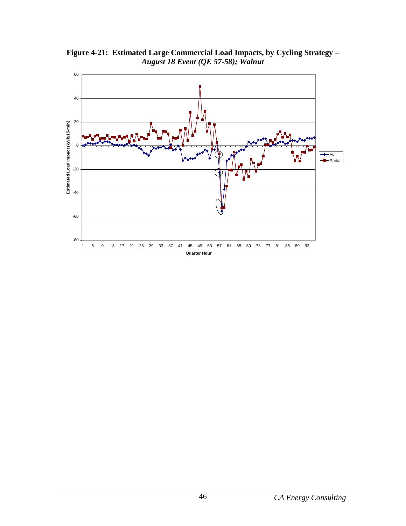

<span id="page-50-0"></span>**Figure 4-21: Estimated Large Commercial Load Impacts, by Cycling Strategy –** *August 18 Event (QE 57-58); Walnut*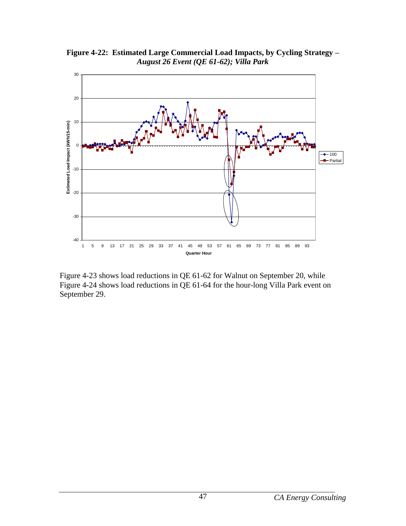

<span id="page-51-0"></span>**Figure 4-22: Estimated Large Commercial Load Impacts, by Cycling Strategy –** *August 26 Event (QE 61-62); Villa Park*

Figure 4-23 shows load reductions in QE 61-62 for Walnut on September 20, while Figure 4-24 shows load reductions in QE 61-64 for the hour-long Villa Park event on September 29.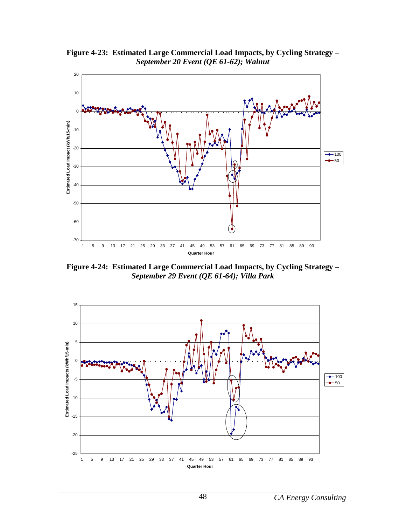

<span id="page-52-0"></span>**Figure 4-23: Estimated Large Commercial Load Impacts, by Cycling Strategy –** *September 20 Event (QE 61-62); Walnut* 

<span id="page-52-1"></span>**Figure 4-24: Estimated Large Commercial Load Impacts, by Cycling Strategy –** *September 29 Event (QE 61-64); Villa Park*

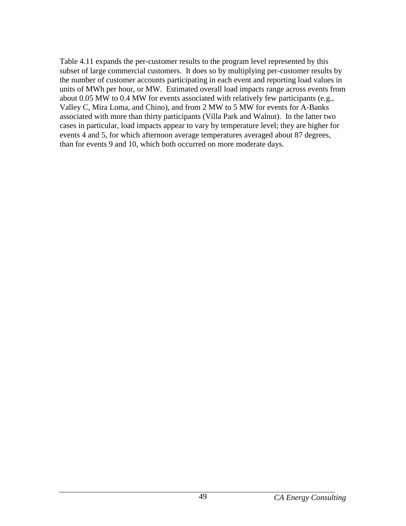Table 4.11 expands the per-customer results to the program level represented by this subset of large commercial customers. It does so by multiplying per-customer results by the number of customer accounts participating in each event and reporting load values in units of MWh per hour, or MW. Estimated overall load impacts range across events from about 0.05 MW to 0.4 MW for events associated with relatively few participants (e.g., Valley C, Mira Loma, and Chino), and from 2 MW to 5 MW for events for A-Banks associated with more than thirty participants (Villa Park and Walnut). In the latter two cases in particular, load impacts appear to vary by temperature level; they are higher for events 4 and 5, for which afternoon average temperatures averaged about 87 degrees, than for events 9 and 10, which both occurred on more moderate days.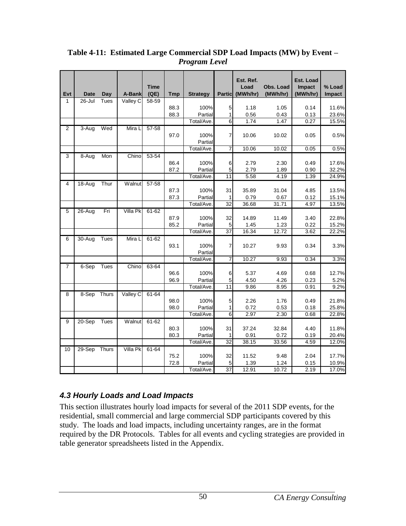| Evt            | <b>Date</b> | Day          | A-Bank          | <b>Time</b><br>(QE) | <b>Tmp</b>   | <b>Strategy</b>               | <b>Particl</b>             | Est. Ref.<br>Load<br>(MWh/hr) | Obs. Load<br>(MWh/hr)  | Est. Load<br>Impact<br>(MWh/hr) | % Load<br><b>Impact</b> |
|----------------|-------------|--------------|-----------------|---------------------|--------------|-------------------------------|----------------------------|-------------------------------|------------------------|---------------------------------|-------------------------|
| 1              | 26-Jul      | Tues         | Valley C        | 58-59               |              |                               |                            |                               |                        |                                 |                         |
|                |             |              |                 |                     | 88.3         | 100%                          | 5                          | 1.18                          | 1.05                   | 0.14                            | 11.6%                   |
|                |             |              |                 |                     | 88.3         | Partial                       | 1                          | 0.56                          | 0.43                   | 0.13                            | 23.6%                   |
|                |             |              |                 |                     |              | <b>Total/Ave</b>              | 6                          | 1.74                          | 1.47                   | 0.27                            | 15.5%                   |
| $\overline{2}$ | 3-Aug       | Wed          | Mira L          | $57 - 58$           | 97.0         | 100%<br>Partial               | $\overline{7}$             | 10.06                         | 10.02                  | 0.05                            | 0.5%                    |
|                |             |              |                 |                     |              | Total/Ave.                    | $\overline{7}$             | 10.06                         | 10.02                  | 0.05                            | 0.5%                    |
| 3              | 8-Aug       | Mon          | Chino           | $53 - 54$           |              |                               |                            |                               |                        |                                 |                         |
|                |             |              |                 |                     | 86.4<br>87.2 | 100%<br>Partial               | 6<br>5                     | 2.79<br>2.79                  | 2.30<br>1.89           | 0.49<br>0.90                    | 17.6%<br>32.2%          |
|                |             |              |                 |                     |              | Total/Ave                     | $\overline{11}$            | 5.58                          | 4.19                   | 1.39                            | 24.9%                   |
| 4              | 18-Aug      | Thur         | Walnut          | $57 - 58$           | 87.3<br>87.3 | 100%<br>Partial               | 31<br>1                    | 35.89<br>0.79                 | 31.04<br>0.67          | 4.85<br>0.12                    | 13.5%<br>15.1%          |
|                |             |              |                 |                     |              | Total/Ave                     | $\overline{32}$            | 36.68                         | 31.71                  | 4.97                            | 13.5%                   |
| 5              | $26 - Aug$  | Fri          | <b>Villa Pk</b> | 61-62               | 87.9<br>85.2 | 100%<br>Partial               | 32<br>5                    | 14.89<br>1.45                 | 11.49<br>1.23          | 3.40<br>0.22                    | 22.8%<br>15.2%          |
|                |             |              |                 |                     |              | Total/Ave                     | 37                         | 16.34                         | 12.72                  | 3.62                            | 22.2%                   |
| 6              | 30-Aug      | Tues         | Mira L          | $61 - 62$           | 93.1         | 100%<br>Partial               | $\overline{7}$             | 10.27                         | 9.93                   | 0.34                            | 3.3%                    |
|                |             |              |                 |                     |              | Total/Ave.                    | 7                          | 10.27                         | 9.93                   | 0.34                            | 3.3%                    |
| 7              | 6-Sep       | Tues         | Chino           | 63-64               | 96.6<br>96.9 | 100%<br>Partial<br>Total/Ave  | 6<br>5<br>$\overline{11}$  | 5.37<br>4.50<br>9.86          | 4.69<br>4.26<br>8.95   | 0.68<br>0.23<br>0.91            | 12.7%<br>5.2%<br>9.2%   |
| 8              | $8-Sep$     | <b>Thurs</b> | Valley C        | $61 - 64$           |              |                               |                            |                               |                        |                                 |                         |
|                |             |              |                 |                     | 98.0<br>98.0 | 100%<br>Partial               | 5<br>$\mathbf{1}$          | 2.26<br>0.72                  | 1.76<br>0.53           | 0.49<br>0.18                    | 21.8%<br>25.8%          |
|                |             |              |                 |                     |              | Total/Ave.                    | $\overline{6}$             | 2.97                          | 2.30                   | 0.68                            | 22.8%                   |
| 9              | $20-Sep$    | Tues         | Walnut          | $61 - 62$           | 80.3<br>80.3 | 100%<br>Partial<br>Total/Ave. | 31<br>1<br>$\overline{32}$ | 37.24<br>0.91<br>38.15        | 32.84<br>0.72<br>33.56 | 4.40<br>0.19<br>4.59            | 11.8%<br>20.4%<br>12.0% |
|                | $29-Sep$    | Thurs        | <b>Villa Pk</b> |                     |              |                               |                            |                               |                        |                                 |                         |
| 10             |             |              |                 | 61-64               | 75.2<br>72.8 | 100%<br>Partial<br>Total/Ave  | 32<br>5<br>$\overline{37}$ | 11.52<br>1.39<br>12.91        | 9.48<br>1.24<br>10.72  | 2.04<br>0.15<br>2.19            | 17.7%<br>10.9%<br>17.0% |
|                |             |              |                 |                     |              |                               |                            |                               |                        |                                 |                         |

<span id="page-54-1"></span>**Table 4-11: Estimated Large Commercial SDP Load Impacts (MW) by Event –** *Program Level*

# <span id="page-54-0"></span>*4.3 Hourly Loads and Load Impacts*

This section illustrates hourly load impacts for several of the 2011 SDP events, for the residential, small commercial and large commercial SDP participants covered by this study. The loads and load impacts, including uncertainty ranges, are in the format required by the DR Protocols. Tables for all events and cycling strategies are provided in table generator spreadsheets listed in the Appendix.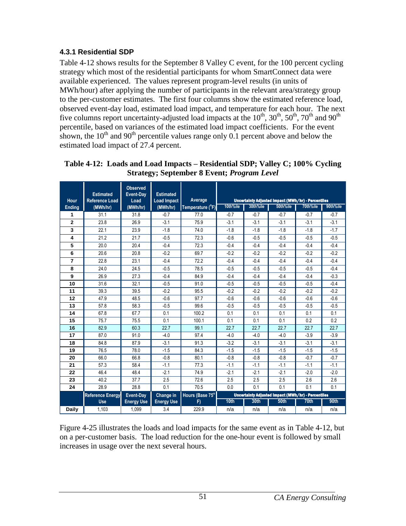## <span id="page-55-0"></span>**4.3.1 Residential SDP**

**Reference Energy Use**

**28.8 Event-Day Energy Use**

**Change in Energy Use**

Table 4-12 shows results for the September 8 Valley C event, for the 100 percent cycling strategy which most of the residential participants for whom SmartConnect data were available experienced. The values represent program-level results (in units of MWh/hour) after applying the number of participants in the relevant area/strategy group to the per-customer estimates. The first four columns show the estimated reference load, observed event-day load, estimated load impact, and temperature for each hour. The next five columns report uncertainty-adjusted load impacts at the  $10^{th}$ ,  $30^{th}$ ,  $50^{th}$ ,  $70^{th}$  and  $90^{th}$ percentile, based on variances of the estimated load impact coefficients. For the event shown, the  $10^{th}$  and  $90^{th}$  percentile values range only 0.1 percent above and below the estimated load impact of 27.4 percent.

|               |                                           |                                      |                                        | Strategy; September 8 Event; <i>Program Level</i> |          |          |                                                    |          |          |
|---------------|-------------------------------------------|--------------------------------------|----------------------------------------|---------------------------------------------------|----------|----------|----------------------------------------------------|----------|----------|
| Hour          | <b>Estimated</b><br><b>Reference Load</b> | <b>Observed</b><br>Event-Day<br>Load | <b>Estimated</b><br><b>Load Impact</b> | Average                                           |          |          | Uncertainty Adjusted Impact (MWh/hr) - Percentiles |          |          |
| <b>Ending</b> | (MWh/hr)                                  | (MWh/hr)                             | (MWh/hr)                               | Temperature (°F)                                  | 10th%ile | 30th%ile | 50th%ile                                           | 70th%ile | 90th%ile |
|               | 31.1                                      | 31.8                                 | $-0.7$                                 | 77.0                                              | $-0.7$   | $-0.7$   | $-0.7$                                             | $-0.7$   | $-0.7$   |
| $\mathbf{2}$  | 23.8                                      | 26.9                                 | $-3.1$                                 | 75.9                                              | $-3.1$   | $-3.1$   | $-3.1$                                             | $-3.1$   | $-3.1$   |
| 3             | 22.1                                      | 23.9                                 | $-1.8$                                 | 74.0                                              | $-1.8$   | $-1.8$   | $-1.8$                                             | $-1.8$   | $-1.7$   |
| 4             | 21.2                                      | 21.7                                 | $-0.5$                                 | 72.3                                              | $-0.6$   | $-0.5$   | $-0.5$                                             | $-0.5$   | $-0.5$   |
| 5             | 20.0                                      | 20.4                                 | $-0.4$                                 | 72.3                                              | $-0.4$   | $-0.4$   | $-0.4$                                             | $-0.4$   | $-0.4$   |

 **1** 20.6 **1** 20.8 **1** -0.2 **1** 69.7 **1** -0.2 **1** -0.2 **1** -0.2 **1** -0.2 **2** 22.8 **8** 23.1 **4** -0.4 **1** -0.2 **1** -0.4 **1** -0.4 **1** -0.4 **1** -0.4 **1 2** 24.0 **24.5 -0.5** -0.5 78.5 -0.5 -0.5 -0.5 -0.5 -0.4 **2** 26.9 **27.3** -0.4 **84.9** -0.4 -0.4 -0.4 -0.4 -0.4 -0.3 31.6 32.1 -0.5 91.0 -0.5 -0.5 -0.5 -0.5 -0.5 -0.4 39.3 39.5 -0.2 39.5 -0.2 -0.2 -0.2 -0.2 -0.2 -0.2 **47.9 48.5 4.6 12 12 12 13 1 10.6 1 10.6 1 10.6 1 10.6 1 10.6 1 57.8 58.3 1 -0.5 99.6 1 -0.5 1 -0.5 1 -0.5 1 -0.5 1**  67.8 67.7 0.1 100.2 0.1 0.1 0.1 0.1 0.1 0.1 **1** 75.7 **1 75.5 0.1 100.1 0.1 0.1 0.1 0.1 0.2 0.2**  82.9 60.3 22.7 99.1 22.7 22.7 22.7 22.7 22.7 87.0 91.0 4.0 97.4 4.0 4.0 4.0 4.0 3.9 3.9 **18 | 8**4.8 | 87.9 | -3.1 | 91.3 | -3.2 | -3.1 | -3.1 | -3.1 | -3.1 76.5 78.0 -1.5 84.3 -1.5 -1.5 -1.5 -1.5 -1.5 -1.5 66.0 66.8 -0.8 80.1 -0.8 -0.8 -0.8 -0.8 -0.7 -0.7 **21 |** 57.3 | 58.4 | -1.1 | 77.3 | -1.1 | -1.1 | -1.1 | -1.1 | -1.1 **22 | 46.4 | 48.4 | -2.1 | 74.9 | -2.1 | -2.1 | -2.1 | -2.0 | -2.0**  40.2 37.7 2.5 72.6 2.5 2.5 2.5 2.6 2.6 | 28.9 | 28.8 | 0.1 | 70.5 | 0.0 | 0.1 | 0.1 | 0.1 | 0.1

<span id="page-55-1"></span>

| Table 4-12: Loads and Load Impacts – Residential SDP; Valley C; 100% Cycling |
|------------------------------------------------------------------------------|
| <b>Strategy</b> ; September 8 Event; <i>Program Level</i>                    |

| Figure 4-25 illustrates the loads and load impacts for the same event as in Table 4-12, but |
|---------------------------------------------------------------------------------------------|
| on a per-customer basis. The load reduction for the one-hour event is followed by small     |
| increases in usage over the next several hours.                                             |

**Daily |** 1,103 | 1,099 | 3.4 | 229.9 | n/a | n/a | n/a | n/a | n/a

 $\overline{70.5}$ **Hours (Base 75<sup>o</sup> F)**

Uncertainty Adjusted Impact (MWh/hr) - Perc **10th 30th 50th 70th 90th**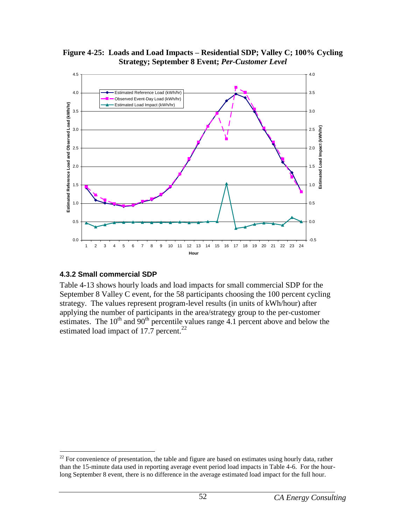<span id="page-56-1"></span>**Figure 4-25: Loads and Load Impacts – Residential SDP; Valley C; 100% Cycling Strategy; September 8 Event;** *Per-Customer Level*



#### <span id="page-56-0"></span>**4.3.2 Small commercial SDP**

Table 4-13 shows hourly loads and load impacts for small commercial SDP for the September 8 Valley C event, for the 58 participants choosing the 100 percent cycling strategy. The values represent program-level results (in units of kWh/hour) after applying the number of participants in the area/strategy group to the per-customer estimates. The  $10^{th}$  and  $90^{th}$  percentile values range 4.1 percent above and below the estimated load impact of 17.7 percent.<sup>22</sup>

 $\overline{a}$  $^{22}$  For convenience of presentation, the table and figure are based on estimates using hourly data, rather than the 15-minute data used in reporting average event period load impacts in Table 4-6. For the hourlong September 8 event, there is no difference in the average estimated load impact for the full hour.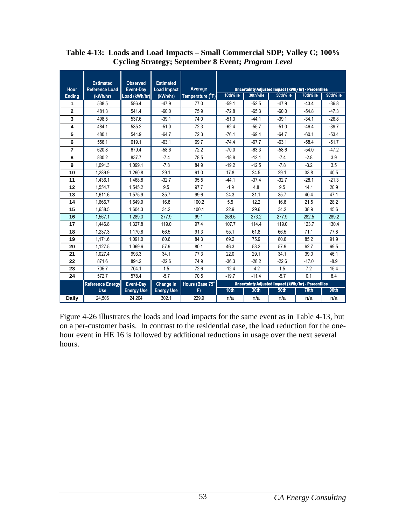|                | <b>Estimated</b>        | <b>Observed</b>   | <b>Estimated</b>   |                  |                                                    |          |                                                    |          |          |
|----------------|-------------------------|-------------------|--------------------|------------------|----------------------------------------------------|----------|----------------------------------------------------|----------|----------|
| Hour           | <b>Reference Load</b>   | Event-Day         | <b>Load Impact</b> | Average          |                                                    |          | Uncertainty Adjusted Impact (kWh/hr) - Percentiles |          |          |
| Ending         | (kWh/hr)                | Load (kWh/hr)     | (kWh/hr)           | Temperature (°F) | 10th%ile                                           | 30th%ile | 50th%ile                                           | 70th%ile | 90th%ile |
| 1              | 538.5                   | 586.4             | $-47.9$            | 77.0             | $-59.1$                                            | $-52.5$  | $-47.9$                                            | $-43.4$  | $-36.8$  |
| $\mathbf{2}$   | 481.3                   | 541.4             | $-60.0$            | 75.9             | $-72.8$                                            | $-65.3$  | $-60.0$                                            | $-54.8$  | $-47.3$  |
| 3              | 498.5                   | 537.6             | $-39.1$            | 74.0             | $-51.3$                                            | $-44.1$  | $-39.1$                                            | $-34.1$  | $-26.8$  |
| 4              | 484.1                   | 535.2             | $-51.0$            | 72.3             | $-62.4$                                            | $-55.7$  | $-51.0$                                            | $-46.4$  | $-39.7$  |
| 5              | 480.1                   | 544.9             | $-64.7$            | 72.3             | $-76.1$                                            | $-69.4$  | $-64.7$                                            | $-60.1$  | $-53.4$  |
| 6              | 556.1                   | 619.1             | $-63.1$            | 69.7             | $-74.4$                                            | $-67.7$  | $-63.1$                                            | $-58.4$  | $-51.7$  |
| $\overline{7}$ | 620.8                   | 679.4             | $-58.6$            | 72.2             | $-70.0$                                            | $-63.3$  | $-58.6$                                            | $-54.0$  | $-47.2$  |
| 8              | 830.2                   | 837.7             | $-7.4$             | 78.5             | $-18.8$                                            | $-12.1$  | $-7.4$                                             | $-2.8$   | 3.9      |
| 9              | 1,091.3                 | 1,099.1           | $-7.8$             | 84.9             | $-19.2$                                            | $-12.5$  | $-7.8$                                             | $-3.2$   | 3.5      |
| 10             | 1.289.9                 | 1.260.8           | 29.1               | 91.0             | 17.8                                               | 24.5     | 29.1                                               | 33.8     | 40.5     |
| 11             | 1.436.1                 | 1.468.8           | $-32.7$            | 95.5             | $-44.1$                                            | $-37.4$  | $-32.7$                                            | $-28.1$  | $-21.3$  |
| 12             | 1.554.7                 | 1,545.2           | 9.5                | 97.7             | $-1.9$                                             | 4.8      | 9.5                                                | 14.1     | 20.9     |
| 13             | 1.611.6                 | 1.575.9           | 35.7               | 99.6             | 24.3                                               | 31.1     | 35.7                                               | 40.4     | 47.1     |
| 14             | 1.666.7                 | 1.649.9           | 16.8               | 100.2            | 5.5                                                | 12.2     | 16.8                                               | 21.5     | 28.2     |
| 15             | 1,638.5                 | 1.604.3           | 34.2               | 100.1            | 22.9                                               | 29.6     | 34.2                                               | 38.9     | 45.6     |
| 16             | 1.567.1                 | 1.289.3           | 277.9              | 99.1             | 266.5                                              | 273.2    | 277.9                                              | 282.5    | 289.2    |
| 17             | 1.446.8                 | 1,327.8           | 119.0              | 97.4             | 107.7                                              | 114.4    | 119.0                                              | 123.7    | 130.4    |
| 18             | 1,237.3                 | 1,170.8           | 66.5               | 91.3             | 55.1                                               | 61.8     | 66.5                                               | 71.1     | 77.8     |
| 19             | 1.171.6                 | 1.091.0           | 80.6               | 84.3             | 69.2                                               | 75.9     | 80.6                                               | 85.2     | 91.9     |
| 20             | 1.127.5                 | 1.069.6           | 57.9               | 80.1             | 46.3                                               | 53.2     | 57.9                                               | 62.7     | 69.5     |
| 21             | 1,027.4                 | 993.3             | 34.1               | 77.3             | 22.0                                               | 29.1     | 34.1                                               | 39.0     | 46.1     |
| 22             | 871.6                   | 894.2             | $-22.6$            | 74.9             | $-36.3$                                            | $-28.2$  | $-22.6$                                            | $-17.0$  | $-8.9$   |
| 23             | 705.7                   | 704.1             | 1.5                | 72.6             | $-12.4$                                            | $-4.2$   | 1.5                                                | 7.2      | 15.4     |
| 24             | 572.7                   | 578.4             | $-5.7$             | 70.5             | $-19.7$                                            | $-11.4$  | $-5.7$                                             | 0.1      | 8.4      |
|                | <b>Reference Energy</b> | Event-Day         | Change in          | Hours (Base 75°  | Uncertainty Adjusted Impact (kWh/hr) - Percentiles |          |                                                    |          |          |
|                | <b>Use</b>              | <b>Energy Use</b> | <b>Energy Use</b>  | F)               | 10 <sub>th</sub>                                   | 30th     | 50th                                               | 70th     | 90th     |
| <b>Daily</b>   | 24.506                  | 24.204            | 302.1              | 229.9            | n/a                                                | n/a      | n/a                                                | n/a      | n/a      |

#### <span id="page-57-0"></span>**Table 4-13: Loads and Load Impacts – Small Commercial SDP; Valley C; 100% Cycling Strategy; September 8 Event;** *Program Level*

Figure 4-26 illustrates the loads and load impacts for the same event as in Table 4-13, but on a per-customer basis. In contrast to the residential case, the load reduction for the onehour event in HE 16 is followed by additional reductions in usage over the next several hours.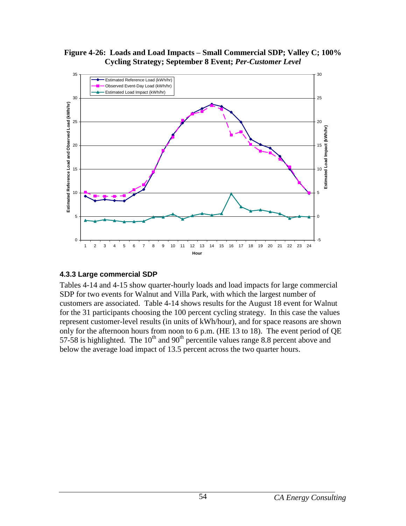<span id="page-58-1"></span>**Figure 4-26: Loads and Load Impacts – Small Commercial SDP; Valley C; 100% Cycling Strategy; September 8 Event;** *Per-Customer Level*



#### <span id="page-58-0"></span>**4.3.3 Large commercial SDP**

Tables 4-14 and 4-15 show quarter-hourly loads and load impacts for large commercial SDP for two events for Walnut and Villa Park, with which the largest number of customers are associated. Table 4-14 shows results for the August 18 event for Walnut for the 31 participants choosing the 100 percent cycling strategy. In this case the values represent customer-level results (in units of kWh/hour), and for space reasons are shown only for the afternoon hours from noon to 6 p.m. (HE 13 to 18). The event period of QE 57-58 is highlighted. The  $10^{th}$  and  $90^{th}$  percentile values range 8.8 percent above and below the average load impact of 13.5 percent across the two quarter hours.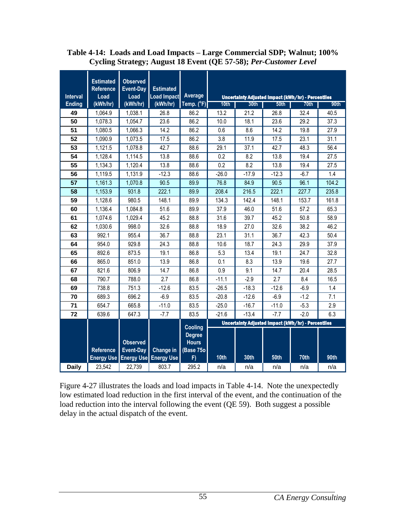|                 | <b>Estimated</b><br>Reference | <b>Observed</b><br><b>Event-Day</b> | <b>Estimated</b>   |                                            |                  |                                                    |         |        |       |
|-----------------|-------------------------------|-------------------------------------|--------------------|--------------------------------------------|------------------|----------------------------------------------------|---------|--------|-------|
| <b>Interval</b> | Load                          | Load                                | <b>Load Impact</b> | <b>Average</b>                             |                  | Uncertainty Adjusted Impact (kWh/hr) - Percentiles |         |        |       |
| <b>Ending</b>   | (kWh/hr)                      | (kWh/hr)                            | (kWh/hr)           | Temp. (°F)                                 | 10 <sub>th</sub> | 30th                                               | 50th    | 70th   | 90th  |
| 49              | 1,064.9                       | 1,038.1                             | 26.8               | 86.2                                       | 13.2             | 21.2                                               | 26.8    | 32.4   | 40.5  |
| 50              | 1,078.3                       | 1,054.7                             | 23.6               | 86.2                                       | 10.0             | 18.1                                               | 23.6    | 29.2   | 37.3  |
| 51              | 1,080.5                       | 1,066.3                             | 14.2               | 86.2                                       | 0.6              | 8.6                                                | 14.2    | 19.8   | 27.9  |
| 52              | 1,090.9                       | 1,073.5                             | 17.5               | 86.2                                       | 3.8              | 11.9                                               | 17.5    | 23.1   | 31.1  |
| 53              | 1,121.5                       | 1,078.8                             | 42.7               | 88.6                                       | 29.1             | 37.1                                               | 42.7    | 48.3   | 56.4  |
| 54              | 1,128.4                       | 1,114.5                             | 13.8               | 88.6                                       | 0.2              | 8.2                                                | 13.8    | 19.4   | 27.5  |
| 55              | 1,134.3                       | 1,120.4                             | 13.8               | 88.6                                       | 0.2              | 8.2                                                | 13.8    | 19.4   | 27.5  |
| 56              | 1,119.5                       | 1,131.9                             | $-12.3$            | 88.6                                       | $-26.0$          | $-17.9$                                            | $-12.3$ | $-6.7$ | 1.4   |
| 57              | 1,161.3                       | 1,070.8                             | 90.5               | 89.9                                       | 76.8             | 84.9                                               | 90.5    | 96.1   | 104.2 |
| 58              | 1,153.9                       | 931.8                               | 222.1              | 89.9                                       | 208.4            | 216.5                                              | 222.1   | 227.7  | 235.8 |
| 59              | 1,128.6                       | 980.5                               | 148.1              | 89.9                                       | 134.3            | 142.4                                              | 148.1   | 153.7  | 161.8 |
| 60              | 1,136.4                       | 1,084.8                             | 51.6               | 89.9                                       | 37.9             | 46.0                                               | 51.6    | 57.2   | 65.3  |
| 61              | 1,074.6                       | 1,029.4                             | 45.2               | 88.8                                       | 31.6             | 39.7                                               | 45.2    | 50.8   | 58.9  |
| 62              | 1,030.6                       | 998.0                               | 32.6               | 88.8                                       | 18.9             | 27.0                                               | 32.6    | 38.2   | 46.2  |
| 63              | 992.1                         | 955.4                               | 36.7               | 88.8                                       | 23.1             | 31.1                                               | 36.7    | 42.3   | 50.4  |
| 64              | 954.0                         | 929.8                               | 24.3               | 88.8                                       | 10.6             | 18.7                                               | 24.3    | 29.9   | 37.9  |
| 65              | 892.6                         | 873.5                               | 19.1               | 86.8                                       | 5.3              | 13.4                                               | 19.1    | 24.7   | 32.8  |
| 66              | 865.0                         | 851.0                               | 13.9               | 86.8                                       | 0.1              | 8.3                                                | 13.9    | 19.6   | 27.7  |
| 67              | 821.6                         | 806.9                               | 14.7               | 86.8                                       | 0.9              | 9.1                                                | 14.7    | 20.4   | 28.5  |
| 68              | 790.7                         | 788.0                               | 2.7                | 86.8                                       | $-11.1$          | $-2.9$                                             | 2.7     | 8.4    | 16.5  |
| 69              | 738.8                         | 751.3                               | $-12.6$            | 83.5                                       | $-26.5$          | $-18.3$                                            | $-12.6$ | $-6.9$ | 1.4   |
| 70              | 689.3                         | 696.2                               | $-6.9$             | 83.5                                       | $-20.8$          | $-12.6$                                            | $-6.9$  | $-1.2$ | 7.1   |
| 71              | 654.7                         | 665.8                               | $-11.0$            | 83.5                                       | $-25.0$          | $-16.7$                                            | $-11.0$ | $-5.3$ | 2.9   |
| 72              | 639.6                         | 647.3                               | $-7.7$             | 83.5                                       | $-21.6$          | $-13.4$                                            | $-7.7$  | $-2.0$ | 6.3   |
|                 |                               |                                     |                    | Cooling                                    |                  | Uncertainty Adjusted Impact (kWh/hr) - Percentiles |         |        |       |
|                 | Reference                     | <b>Observed</b><br><b>Event-Day</b> | Change in          | <b>Degree</b><br><b>Hours</b><br>(Base 75o |                  |                                                    |         |        |       |
|                 | <b>Energy Use</b>             | <b>Energy Use</b>                   | <b>Energy Use</b>  | F)                                         | 10th             | 30th                                               | 50th    | 70th   | 90th  |
| <b>Daily</b>    | 23,542                        | 22,739                              | 803.7              | 295.2                                      | n/a              | n/a                                                | n/a     | n/a    | n/a   |

#### <span id="page-59-0"></span>**Table 4-14: Loads and Load Impacts – Large Commercial SDP; Walnut; 100% Cycling Strategy; August 18 Event (QE 57-58);** *Per-Customer Level*

Figure 4-27 illustrates the loads and load impacts in Table 4-14. Note the unexpectedly low estimated load reduction in the first interval of the event, and the continuation of the load reduction into the interval following the event (QE 59). Both suggest a possible delay in the actual dispatch of the event.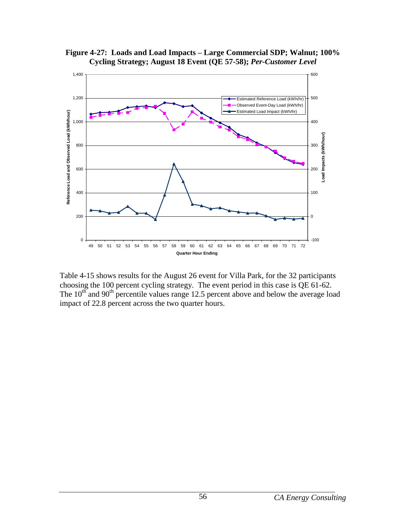

<span id="page-60-0"></span>**Figure 4-27: Loads and Load Impacts – Large Commercial SDP; Walnut; 100% Cycling Strategy; August 18 Event (QE 57-58);** *Per-Customer Level*

Table 4-15 shows results for the August 26 event for Villa Park, for the 32 participants choosing the 100 percent cycling strategy. The event period in this case is QE 61-62. The 10<sup>th</sup> and 90<sup>th</sup> percentile values range 12.5 percent above and below the average load impact of 22.8 percent across the two quarter hours.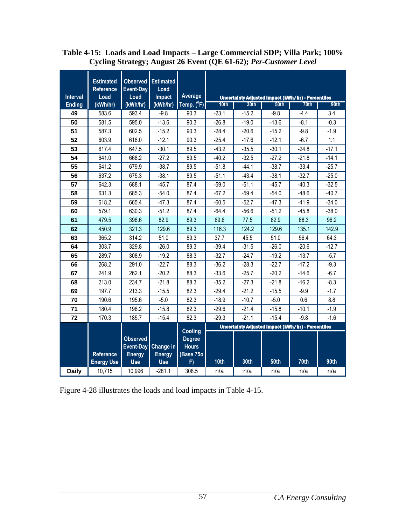| Average<br>Interval<br>Load<br>Impact<br>Load<br>Uncertainty Adjusted Impact (kWh/hr) - Percentiles<br>Temp. $(^{\circ}F)$<br>(kWh/hr)<br><b>Ending</b><br>(kWh/hr)<br>(kWh/hr)<br>30th<br>10th<br>50th<br>70th<br>583.6<br>593.4<br>$-9.8$<br>90.3<br>$-23.1$<br>$-15.2$<br>3.4<br>49<br>$-9.8$<br>$-4.4$<br>50<br>581.5<br>595.0<br>$-13.6$<br>90.3<br>$-13.6$<br>$-0.3$<br>$-26.8$<br>$-19.0$<br>$-8.1$<br>587.3<br>602.5<br>$-15.2$<br>90.3<br>$-28.4$<br>$-15.2$<br>$-1.9$<br>51<br>$-20.6$<br>$-9.8$<br>603.9<br>616.0<br>$-12.1$<br>90.3<br>$-25.4$<br>$-12.1$<br>$-6.7$<br>1.1<br>52<br>$-17.6$<br>53<br>617.4<br>$-30.1$<br>647.5<br>$-30.1$<br>89.5<br>$-43.2$<br>$-35.5$<br>$-24.8$<br>$-17.1$<br>54<br>641.0<br>668.2<br>$-27.2$<br>89.5<br>$-40.2$<br>$-32.5$<br>$-27.2$<br>$-21.8$<br>$-14.1$<br>$-25.7$<br>641.2<br>679.9<br>$-38.7$<br>89.5<br>$-51.8$<br>$-44.1$<br>$-38.7$<br>$-33.4$<br>55<br>56<br>637.2<br>675.3<br>$-38.1$<br>89.5<br>$-51.1$<br>$-43.4$<br>$-38.1$<br>$-32.7$<br>642.3<br>57<br>688.1<br>$-45.7$<br>87.4<br>$-59.0$<br>$-51.1$<br>$-45.7$<br>$-40.3$<br>631.3<br>685.3<br>$-67.2$<br>$-48.6$<br>58<br>$-54.0$<br>87.4<br>$-59.4$<br>$-54.0$<br>59<br>618.2<br>$-41.9$<br>665.4<br>$-47.3$<br>87.4<br>$-60.5$<br>$-52.7$<br>$-47.3$<br>579.1<br>630.3<br>$-51.2$<br>$-64.4$<br>$-56.6$<br>$-51.2$<br>$-45.8$<br>60<br>87.4<br>479.5<br>396.6<br>82.9<br>89.3<br>69.6<br>82.9<br>88.3<br>96.2<br>61<br>77.5<br>62<br>450.9<br>321.3<br>129.6<br>89.3<br>116.3<br>124.2<br>129.6<br>135.1<br>365.2<br>314.2<br>51.0<br>89.3<br>37.7<br>45.5<br>51.0<br>56.4<br>64.3<br>63<br>303.7<br>329.8<br>89.3<br>$-39.4$<br>$-31.5$<br>$-26.0$<br>64<br>$-26.0$<br>$-20.6$<br>65<br>289.7<br>308.9<br>$-19.2$<br>88.3<br>$-32.7$<br>$-24.7$<br>$-19.2$<br>$-13.7$<br>$-5.7$<br>268.2<br>$-22.7$<br>$-17.2$<br>66<br>291.0<br>$-22.7$<br>88.3<br>$-36.2$<br>$-28.3$<br>$-9.3$<br>67<br>241.9<br>262.1<br>$-20.2$<br>88.3<br>$-33.6$<br>$-25.7$<br>$-20.2$<br>$-14.6$<br>$-6.7$<br>$-21.8$<br>$-8.3$<br>68<br>213.0<br>234.7<br>88.3<br>$-35.2$<br>$-27.3$<br>$-21.8$<br>$-16.2$<br>197.7<br>213.3<br>$-29.4$<br>$-1.7$<br>69<br>$-15.5$<br>82.3<br>$-21.2$<br>$-15.5$<br>$-9.9$<br>70<br>190.6<br>195.6<br>$-5.0$<br>82.3<br>0.6<br>8.8<br>$-18.9$<br>$-10.7$<br>$-5.0$<br>180.4<br>196.2<br>71<br>$-15.8$<br>82.3<br>$-29.6$<br>$-21.4$<br>$-15.8$<br>$-10.1$<br>$-1.9$<br>$-29.3$<br>$-21.1$<br>$-15.4$<br>$-9.8$<br>$-1.6$<br>72<br>170.3<br>185.7<br>$-15.4$<br>82.3<br>Uncertainty Adjusted Impact (kWh/hr) - Percentiles | <b>Estimated</b><br><b>Reference</b> | <b>Observed</b><br>Event-Day | <b>Estimated</b><br>Load |  |  |  |  |         |
|---------------------------------------------------------------------------------------------------------------------------------------------------------------------------------------------------------------------------------------------------------------------------------------------------------------------------------------------------------------------------------------------------------------------------------------------------------------------------------------------------------------------------------------------------------------------------------------------------------------------------------------------------------------------------------------------------------------------------------------------------------------------------------------------------------------------------------------------------------------------------------------------------------------------------------------------------------------------------------------------------------------------------------------------------------------------------------------------------------------------------------------------------------------------------------------------------------------------------------------------------------------------------------------------------------------------------------------------------------------------------------------------------------------------------------------------------------------------------------------------------------------------------------------------------------------------------------------------------------------------------------------------------------------------------------------------------------------------------------------------------------------------------------------------------------------------------------------------------------------------------------------------------------------------------------------------------------------------------------------------------------------------------------------------------------------------------------------------------------------------------------------------------------------------------------------------------------------------------------------------------------------------------------------------------------------------------------------------------------------------------------------------------------------------------------------------------------------------------------------------------------------------------------------------------------|--------------------------------------|------------------------------|--------------------------|--|--|--|--|---------|
|                                                                                                                                                                                                                                                                                                                                                                                                                                                                                                                                                                                                                                                                                                                                                                                                                                                                                                                                                                                                                                                                                                                                                                                                                                                                                                                                                                                                                                                                                                                                                                                                                                                                                                                                                                                                                                                                                                                                                                                                                                                                                                                                                                                                                                                                                                                                                                                                                                                                                                                                                         |                                      |                              |                          |  |  |  |  |         |
|                                                                                                                                                                                                                                                                                                                                                                                                                                                                                                                                                                                                                                                                                                                                                                                                                                                                                                                                                                                                                                                                                                                                                                                                                                                                                                                                                                                                                                                                                                                                                                                                                                                                                                                                                                                                                                                                                                                                                                                                                                                                                                                                                                                                                                                                                                                                                                                                                                                                                                                                                         |                                      |                              |                          |  |  |  |  | 90th    |
|                                                                                                                                                                                                                                                                                                                                                                                                                                                                                                                                                                                                                                                                                                                                                                                                                                                                                                                                                                                                                                                                                                                                                                                                                                                                                                                                                                                                                                                                                                                                                                                                                                                                                                                                                                                                                                                                                                                                                                                                                                                                                                                                                                                                                                                                                                                                                                                                                                                                                                                                                         |                                      |                              |                          |  |  |  |  |         |
|                                                                                                                                                                                                                                                                                                                                                                                                                                                                                                                                                                                                                                                                                                                                                                                                                                                                                                                                                                                                                                                                                                                                                                                                                                                                                                                                                                                                                                                                                                                                                                                                                                                                                                                                                                                                                                                                                                                                                                                                                                                                                                                                                                                                                                                                                                                                                                                                                                                                                                                                                         |                                      |                              |                          |  |  |  |  |         |
|                                                                                                                                                                                                                                                                                                                                                                                                                                                                                                                                                                                                                                                                                                                                                                                                                                                                                                                                                                                                                                                                                                                                                                                                                                                                                                                                                                                                                                                                                                                                                                                                                                                                                                                                                                                                                                                                                                                                                                                                                                                                                                                                                                                                                                                                                                                                                                                                                                                                                                                                                         |                                      |                              |                          |  |  |  |  |         |
|                                                                                                                                                                                                                                                                                                                                                                                                                                                                                                                                                                                                                                                                                                                                                                                                                                                                                                                                                                                                                                                                                                                                                                                                                                                                                                                                                                                                                                                                                                                                                                                                                                                                                                                                                                                                                                                                                                                                                                                                                                                                                                                                                                                                                                                                                                                                                                                                                                                                                                                                                         |                                      |                              |                          |  |  |  |  |         |
|                                                                                                                                                                                                                                                                                                                                                                                                                                                                                                                                                                                                                                                                                                                                                                                                                                                                                                                                                                                                                                                                                                                                                                                                                                                                                                                                                                                                                                                                                                                                                                                                                                                                                                                                                                                                                                                                                                                                                                                                                                                                                                                                                                                                                                                                                                                                                                                                                                                                                                                                                         |                                      |                              |                          |  |  |  |  |         |
|                                                                                                                                                                                                                                                                                                                                                                                                                                                                                                                                                                                                                                                                                                                                                                                                                                                                                                                                                                                                                                                                                                                                                                                                                                                                                                                                                                                                                                                                                                                                                                                                                                                                                                                                                                                                                                                                                                                                                                                                                                                                                                                                                                                                                                                                                                                                                                                                                                                                                                                                                         |                                      |                              |                          |  |  |  |  |         |
|                                                                                                                                                                                                                                                                                                                                                                                                                                                                                                                                                                                                                                                                                                                                                                                                                                                                                                                                                                                                                                                                                                                                                                                                                                                                                                                                                                                                                                                                                                                                                                                                                                                                                                                                                                                                                                                                                                                                                                                                                                                                                                                                                                                                                                                                                                                                                                                                                                                                                                                                                         |                                      |                              |                          |  |  |  |  |         |
|                                                                                                                                                                                                                                                                                                                                                                                                                                                                                                                                                                                                                                                                                                                                                                                                                                                                                                                                                                                                                                                                                                                                                                                                                                                                                                                                                                                                                                                                                                                                                                                                                                                                                                                                                                                                                                                                                                                                                                                                                                                                                                                                                                                                                                                                                                                                                                                                                                                                                                                                                         |                                      |                              |                          |  |  |  |  | $-25.0$ |
|                                                                                                                                                                                                                                                                                                                                                                                                                                                                                                                                                                                                                                                                                                                                                                                                                                                                                                                                                                                                                                                                                                                                                                                                                                                                                                                                                                                                                                                                                                                                                                                                                                                                                                                                                                                                                                                                                                                                                                                                                                                                                                                                                                                                                                                                                                                                                                                                                                                                                                                                                         |                                      |                              |                          |  |  |  |  | $-32.5$ |
|                                                                                                                                                                                                                                                                                                                                                                                                                                                                                                                                                                                                                                                                                                                                                                                                                                                                                                                                                                                                                                                                                                                                                                                                                                                                                                                                                                                                                                                                                                                                                                                                                                                                                                                                                                                                                                                                                                                                                                                                                                                                                                                                                                                                                                                                                                                                                                                                                                                                                                                                                         |                                      |                              |                          |  |  |  |  | $-40.7$ |
|                                                                                                                                                                                                                                                                                                                                                                                                                                                                                                                                                                                                                                                                                                                                                                                                                                                                                                                                                                                                                                                                                                                                                                                                                                                                                                                                                                                                                                                                                                                                                                                                                                                                                                                                                                                                                                                                                                                                                                                                                                                                                                                                                                                                                                                                                                                                                                                                                                                                                                                                                         |                                      |                              |                          |  |  |  |  | $-34.0$ |
|                                                                                                                                                                                                                                                                                                                                                                                                                                                                                                                                                                                                                                                                                                                                                                                                                                                                                                                                                                                                                                                                                                                                                                                                                                                                                                                                                                                                                                                                                                                                                                                                                                                                                                                                                                                                                                                                                                                                                                                                                                                                                                                                                                                                                                                                                                                                                                                                                                                                                                                                                         |                                      |                              |                          |  |  |  |  | $-38.0$ |
|                                                                                                                                                                                                                                                                                                                                                                                                                                                                                                                                                                                                                                                                                                                                                                                                                                                                                                                                                                                                                                                                                                                                                                                                                                                                                                                                                                                                                                                                                                                                                                                                                                                                                                                                                                                                                                                                                                                                                                                                                                                                                                                                                                                                                                                                                                                                                                                                                                                                                                                                                         |                                      |                              |                          |  |  |  |  |         |
|                                                                                                                                                                                                                                                                                                                                                                                                                                                                                                                                                                                                                                                                                                                                                                                                                                                                                                                                                                                                                                                                                                                                                                                                                                                                                                                                                                                                                                                                                                                                                                                                                                                                                                                                                                                                                                                                                                                                                                                                                                                                                                                                                                                                                                                                                                                                                                                                                                                                                                                                                         |                                      |                              |                          |  |  |  |  | 142.9   |
|                                                                                                                                                                                                                                                                                                                                                                                                                                                                                                                                                                                                                                                                                                                                                                                                                                                                                                                                                                                                                                                                                                                                                                                                                                                                                                                                                                                                                                                                                                                                                                                                                                                                                                                                                                                                                                                                                                                                                                                                                                                                                                                                                                                                                                                                                                                                                                                                                                                                                                                                                         |                                      |                              |                          |  |  |  |  |         |
|                                                                                                                                                                                                                                                                                                                                                                                                                                                                                                                                                                                                                                                                                                                                                                                                                                                                                                                                                                                                                                                                                                                                                                                                                                                                                                                                                                                                                                                                                                                                                                                                                                                                                                                                                                                                                                                                                                                                                                                                                                                                                                                                                                                                                                                                                                                                                                                                                                                                                                                                                         |                                      |                              |                          |  |  |  |  | $-12.7$ |
|                                                                                                                                                                                                                                                                                                                                                                                                                                                                                                                                                                                                                                                                                                                                                                                                                                                                                                                                                                                                                                                                                                                                                                                                                                                                                                                                                                                                                                                                                                                                                                                                                                                                                                                                                                                                                                                                                                                                                                                                                                                                                                                                                                                                                                                                                                                                                                                                                                                                                                                                                         |                                      |                              |                          |  |  |  |  |         |
|                                                                                                                                                                                                                                                                                                                                                                                                                                                                                                                                                                                                                                                                                                                                                                                                                                                                                                                                                                                                                                                                                                                                                                                                                                                                                                                                                                                                                                                                                                                                                                                                                                                                                                                                                                                                                                                                                                                                                                                                                                                                                                                                                                                                                                                                                                                                                                                                                                                                                                                                                         |                                      |                              |                          |  |  |  |  |         |
|                                                                                                                                                                                                                                                                                                                                                                                                                                                                                                                                                                                                                                                                                                                                                                                                                                                                                                                                                                                                                                                                                                                                                                                                                                                                                                                                                                                                                                                                                                                                                                                                                                                                                                                                                                                                                                                                                                                                                                                                                                                                                                                                                                                                                                                                                                                                                                                                                                                                                                                                                         |                                      |                              |                          |  |  |  |  |         |
|                                                                                                                                                                                                                                                                                                                                                                                                                                                                                                                                                                                                                                                                                                                                                                                                                                                                                                                                                                                                                                                                                                                                                                                                                                                                                                                                                                                                                                                                                                                                                                                                                                                                                                                                                                                                                                                                                                                                                                                                                                                                                                                                                                                                                                                                                                                                                                                                                                                                                                                                                         |                                      |                              |                          |  |  |  |  |         |
|                                                                                                                                                                                                                                                                                                                                                                                                                                                                                                                                                                                                                                                                                                                                                                                                                                                                                                                                                                                                                                                                                                                                                                                                                                                                                                                                                                                                                                                                                                                                                                                                                                                                                                                                                                                                                                                                                                                                                                                                                                                                                                                                                                                                                                                                                                                                                                                                                                                                                                                                                         |                                      |                              |                          |  |  |  |  |         |
|                                                                                                                                                                                                                                                                                                                                                                                                                                                                                                                                                                                                                                                                                                                                                                                                                                                                                                                                                                                                                                                                                                                                                                                                                                                                                                                                                                                                                                                                                                                                                                                                                                                                                                                                                                                                                                                                                                                                                                                                                                                                                                                                                                                                                                                                                                                                                                                                                                                                                                                                                         |                                      |                              |                          |  |  |  |  |         |
|                                                                                                                                                                                                                                                                                                                                                                                                                                                                                                                                                                                                                                                                                                                                                                                                                                                                                                                                                                                                                                                                                                                                                                                                                                                                                                                                                                                                                                                                                                                                                                                                                                                                                                                                                                                                                                                                                                                                                                                                                                                                                                                                                                                                                                                                                                                                                                                                                                                                                                                                                         |                                      |                              |                          |  |  |  |  |         |
|                                                                                                                                                                                                                                                                                                                                                                                                                                                                                                                                                                                                                                                                                                                                                                                                                                                                                                                                                                                                                                                                                                                                                                                                                                                                                                                                                                                                                                                                                                                                                                                                                                                                                                                                                                                                                                                                                                                                                                                                                                                                                                                                                                                                                                                                                                                                                                                                                                                                                                                                                         |                                      |                              |                          |  |  |  |  |         |
|                                                                                                                                                                                                                                                                                                                                                                                                                                                                                                                                                                                                                                                                                                                                                                                                                                                                                                                                                                                                                                                                                                                                                                                                                                                                                                                                                                                                                                                                                                                                                                                                                                                                                                                                                                                                                                                                                                                                                                                                                                                                                                                                                                                                                                                                                                                                                                                                                                                                                                                                                         |                                      |                              |                          |  |  |  |  |         |
| Cooling<br><b>Observed</b><br><b>Degree</b><br>Event-Day<br><b>Change in</b><br><b>Hours</b><br><b>Reference</b><br><b>Energy</b><br><b>Energy</b><br>(Base 75o<br>30th<br>10th<br>50th<br>70th<br>90th<br><b>Energy Use</b><br><b>Use</b><br><b>Use</b><br>F)                                                                                                                                                                                                                                                                                                                                                                                                                                                                                                                                                                                                                                                                                                                                                                                                                                                                                                                                                                                                                                                                                                                                                                                                                                                                                                                                                                                                                                                                                                                                                                                                                                                                                                                                                                                                                                                                                                                                                                                                                                                                                                                                                                                                                                                                                          |                                      |                              |                          |  |  |  |  |         |
| <b>Daily</b><br>10,715<br>10,996<br>$-281.1$<br>308.5<br>n/a<br>n/a<br>n/a<br>n/a<br>n/a                                                                                                                                                                                                                                                                                                                                                                                                                                                                                                                                                                                                                                                                                                                                                                                                                                                                                                                                                                                                                                                                                                                                                                                                                                                                                                                                                                                                                                                                                                                                                                                                                                                                                                                                                                                                                                                                                                                                                                                                                                                                                                                                                                                                                                                                                                                                                                                                                                                                |                                      |                              |                          |  |  |  |  |         |

#### <span id="page-61-0"></span>**Table 4-15: Loads and Load Impacts – Large Commercial SDP; Villa Park; 100% Cycling Strategy; August 26 Event (QE 61-62);** *Per-Customer Level*

Figure 4-28 illustrates the loads and load impacts in Table 4-15.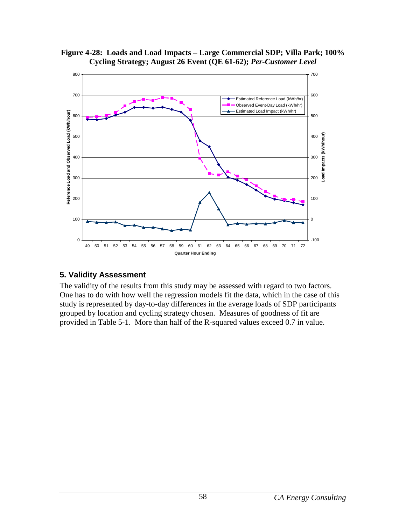<span id="page-62-1"></span>



#### <span id="page-62-0"></span>**5. Validity Assessment**

The validity of the results from this study may be assessed with regard to two factors. One has to do with how well the regression models fit the data, which in the case of this study is represented by day-to-day differences in the average loads of SDP participants grouped by location and cycling strategy chosen. Measures of goodness of fit are provided in Table 5-1. More than half of the R-squared values exceed 0.7 in value.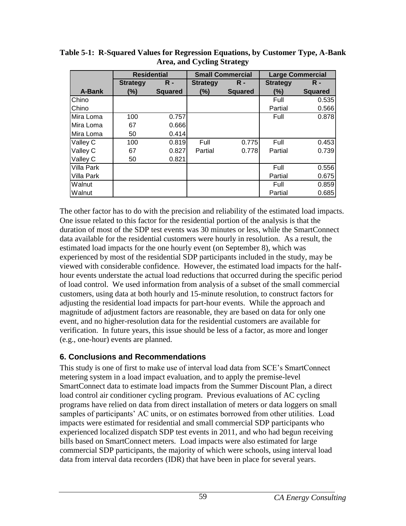|            | <b>Residential</b> |                |                 | <b>Small Commercial</b> | <b>Large Commercial</b> |                |
|------------|--------------------|----------------|-----------------|-------------------------|-------------------------|----------------|
|            | <b>Strategy</b>    | $R -$          | <b>Strategy</b> | $R -$                   | <b>Strategy</b>         | $\mathsf{R}$ - |
| A-Bank     | $(\%)$             | <b>Squared</b> | (%)             | <b>Squared</b>          | $(\%)$                  | <b>Squared</b> |
| Chino      |                    |                |                 |                         | Full                    | 0.535          |
| Chino      |                    |                |                 |                         | Partial                 | 0.566          |
| Mira Loma  | 100                | 0.757          |                 |                         | Full                    | 0.878          |
| Mira Loma  | 67                 | 0.666          |                 |                         |                         |                |
| Mira Loma  | 50                 | 0.414          |                 |                         |                         |                |
| Valley C   | 100                | 0.819          | Full            | 0.775                   | Full                    | 0.453          |
| Valley C   | 67                 | 0.827          | Partial         | 0.778                   | Partial                 | 0.739          |
| Valley C   | 50                 | 0.821          |                 |                         |                         |                |
| Villa Park |                    |                |                 |                         | Full                    | 0.556          |
| Villa Park |                    |                |                 |                         | Partial                 | 0.675          |
| Walnut     |                    |                |                 |                         | Full                    | 0.859          |
| Walnut     |                    |                |                 |                         | Partial                 | 0.685          |

<span id="page-63-1"></span>**Table 5-1: R-Squared Values for Regression Equations, by Customer Type, A-Bank Area, and Cycling Strategy**

The other factor has to do with the precision and reliability of the estimated load impacts. One issue related to this factor for the residential portion of the analysis is that the duration of most of the SDP test events was 30 minutes or less, while the SmartConnect data available for the residential customers were hourly in resolution. As a result, the estimated load impacts for the one hourly event (on September 8), which was experienced by most of the residential SDP participants included in the study, may be viewed with considerable confidence. However, the estimated load impacts for the halfhour events understate the actual load reductions that occurred during the specific period of load control. We used information from analysis of a subset of the small commercial customers, using data at both hourly and 15-minute resolution, to construct factors for adjusting the residential load impacts for part-hour events. While the approach and magnitude of adjustment factors are reasonable, they are based on data for only one event, and no higher-resolution data for the residential customers are available for verification. In future years, this issue should be less of a factor, as more and longer (e.g., one-hour) events are planned.

## <span id="page-63-0"></span>**6. Conclusions and Recommendations**

This study is one of first to make use of interval load data from SCE's SmartConnect metering system in a load impact evaluation, and to apply the premise-level SmartConnect data to estimate load impacts from the Summer Discount Plan, a direct load control air conditioner cycling program. Previous evaluations of AC cycling programs have relied on data from direct installation of meters or data loggers on small samples of participants' AC units, or on estimates borrowed from other utilities. Load impacts were estimated for residential and small commercial SDP participants who experienced localized dispatch SDP test events in 2011, and who had begun receiving bills based on SmartConnect meters. Load impacts were also estimated for large commercial SDP participants, the majority of which were schools, using interval load data from interval data recorders (IDR) that have been in place for several years.